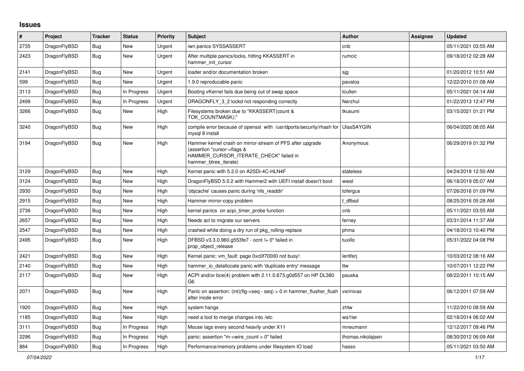## **Issues**

| $\vert$ # | Project      | <b>Tracker</b> | <b>Status</b> | <b>Priority</b> | <b>Subject</b>                                                                                                                                              | <b>Author</b>     | <b>Assignee</b> | <b>Updated</b>      |
|-----------|--------------|----------------|---------------|-----------------|-------------------------------------------------------------------------------------------------------------------------------------------------------------|-------------------|-----------------|---------------------|
| 2735      | DragonFlyBSD | Bug            | <b>New</b>    | Urgent          | iwn panics SYSSASSERT                                                                                                                                       | cnb               |                 | 05/11/2021 03:55 AM |
| 2423      | DragonFlyBSD | <b>Bug</b>     | <b>New</b>    | Urgent          | After multiple panics/locks, hitting KKASSERT in<br>hammer init cursor                                                                                      | rumcic            |                 | 09/18/2012 02:28 AM |
| 2141      | DragonFlyBSD | Bug            | New           | Urgent          | loader and/or documentation broken                                                                                                                          | sjg               |                 | 01/20/2012 10:51 AM |
| 599       | DragonFlyBSD | <b>Bug</b>     | New           | Urgent          | 1.9.0 reproducable panic                                                                                                                                    | pavalos           |                 | 12/22/2010 01:08 AM |
| 3113      | DragonFlyBSD | Bug            | In Progress   | Urgent          | Booting vKernel fails due being out of swap space                                                                                                           | tcullen           |                 | 05/11/2021 04:14 AM |
| 2499      | DragonFlyBSD | Bug            | In Progress   | Urgent          | DRAGONFLY_3_2 lockd not responding correctly                                                                                                                | Nerzhul           |                 | 01/22/2013 12:47 PM |
| 3266      | DragonFlyBSD | <b>Bug</b>     | New           | High            | Filesystems broken due to "KKASSERT(count &<br>TOK COUNTMASK);"                                                                                             | tkusumi           |                 | 03/15/2021 01:21 PM |
| 3240      | DragonFlyBSD | <b>Bug</b>     | New           | High            | compile error because of openssl with /usr/dports/security/rhash for<br>mysql 8 install                                                                     | <b>UlasSAYGIN</b> |                 | 06/04/2020 08:05 AM |
| 3194      | DragonFlyBSD | Bug            | New           | High            | Hammer kernel crash on mirror-stream of PFS after upgrade<br>(assertion "cursor->flags &<br>HAMMER_CURSOR_ITERATE_CHECK" failed in<br>hammer btree iterate) | Anonymous         |                 | 06/29/2019 01:32 PM |
| 3129      | DragonFlyBSD | <b>Bug</b>     | New           | High            | Kernel panic with 5.2.0 on A2SDi-4C-HLN4F                                                                                                                   | stateless         |                 | 04/24/2018 12:50 AM |
| 3124      | DragonFlyBSD | <b>Bug</b>     | New           | High            | DragonFlyBSD 5.0.2 with Hammer2 with UEFI install doesn't boot                                                                                              | wiesl             |                 | 06/18/2019 05:07 AM |
| 2930      | DragonFlyBSD | <b>Bug</b>     | <b>New</b>    | High            | 'objcache' causes panic during 'nfs readdir'                                                                                                                | tofergus          |                 | 07/26/2016 01:09 PM |
| 2915      | DragonFlyBSD | <b>Bug</b>     | New           | High            | Hammer mirror-copy problem                                                                                                                                  | t dfbsd           |                 | 08/25/2016 05:28 AM |
| 2736      | DragonFlyBSD | <b>Bug</b>     | New           | High            | kernel panics on acpi timer probe function                                                                                                                  | cnb               |                 | 05/11/2021 03:55 AM |
| 2657      | DragonFlyBSD | <b>Bug</b>     | New           | High            | Needs acl to migrate our servers                                                                                                                            | ferney            |                 | 03/31/2014 11:37 AM |
| 2547      | DragonFlyBSD | <b>Bug</b>     | <b>New</b>    | High            | crashed while doing a dry run of pkg_rolling-replace                                                                                                        | phma              |                 | 04/18/2013 10:40 PM |
| 2495      | DragonFlyBSD | <b>Bug</b>     | <b>New</b>    | High            | DFBSD v3.3.0.960.g553fe7 - ocnt != 0" failed in<br>prop object release                                                                                      | tuxillo           |                 | 05/31/2022 04:08 PM |
| 2421      | DragonFlyBSD | <b>Bug</b>     | New           | High            | Kernel panic: vm_fault: page 0xc0f70000 not busy!                                                                                                           | lentferj          |                 | 10/03/2012 08:16 AM |
| 2140      | DragonFlyBSD | Bug            | New           | High            | hammer io delallocate panic with 'duplicate entry' message                                                                                                  | ttw               |                 | 10/07/2011 12:22 PM |
| 2117      | DragonFlyBSD | Bug            | New           | High            | ACPI and/or bce(4) problem with 2.11.0.673.g0d557 on HP DL380<br>G6                                                                                         | pauska            |                 | 08/22/2011 10:15 AM |
| 2071      | DragonFlyBSD | Bug            | New           | High            | Panic on assertion: $(int)(flg\rightarrow seq - seq) > 0$ in hammer flusher flush<br>after inode error                                                      | vsrinivas         |                 | 06/12/2011 07:59 AM |
| 1920      | DragonFlyBSD | Bug            | New           | High            | system hangs                                                                                                                                                | zhtw              |                 | 11/22/2010 08:59 AM |
| 1185      | DragonFlyBSD | Bug            | <b>New</b>    | High            | need a tool to merge changes into /etc                                                                                                                      | wa1ter            |                 | 02/18/2014 06:02 AM |
| 3111      | DragonFlyBSD | <b>Bug</b>     | In Progress   | High            | Mouse lags every second heavily under X11                                                                                                                   | mneumann          |                 | 12/12/2017 09:46 PM |
| 2296      | DragonFlyBSD | Bug            | In Progress   | High            | panic: assertion "m->wire count > 0" failed                                                                                                                 | thomas.nikolajsen |                 | 08/30/2012 06:09 AM |
| 884       | DragonFlyBSD | Bug            | In Progress   | High            | Performance/memory problems under filesystem IO load                                                                                                        | hasso             |                 | 05/11/2021 03:50 AM |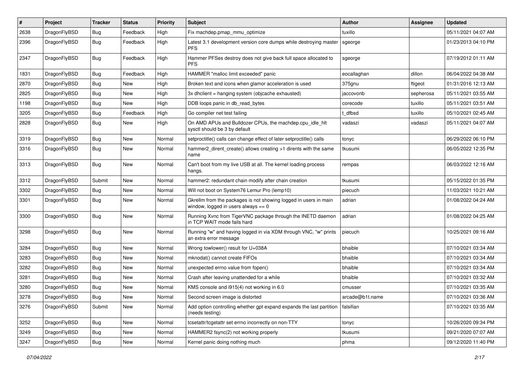| #    | Project      | <b>Tracker</b> | <b>Status</b> | <b>Priority</b> | <b>Subject</b>                                                                                            | <b>Author</b>   | <b>Assignee</b> | <b>Updated</b>      |
|------|--------------|----------------|---------------|-----------------|-----------------------------------------------------------------------------------------------------------|-----------------|-----------------|---------------------|
| 2638 | DragonFlyBSD | <b>Bug</b>     | Feedback      | High            | Fix machdep.pmap_mmu_optimize                                                                             | tuxillo         |                 | 05/11/2021 04:07 AM |
| 2396 | DragonFlyBSD | <b>Bug</b>     | Feedback      | High            | Latest 3.1 development version core dumps while destroying master<br><b>PFS</b>                           | sgeorge         |                 | 01/23/2013 04:10 PM |
| 2347 | DragonFlyBSD | Bug            | Feedback      | High            | Hammer PFSes destroy does not give back full space allocated to<br><b>PFS</b>                             | sgeorge         |                 | 07/19/2012 01:11 AM |
| 1831 | DragonFlyBSD | <b>Bug</b>     | Feedback      | High            | HAMMER "malloc limit exceeded" panic                                                                      | eocallaghan     | dillon          | 06/04/2022 04:38 AM |
| 2870 | DragonFlyBSD | <b>Bug</b>     | <b>New</b>    | High            | Broken text and icons when glamor acceleration is used                                                    | 375gnu          | ftigeot         | 01/31/2016 12:13 AM |
| 2825 | DragonFlyBSD | Bug            | New           | High            | 3x dhclient = hanging system (objcache exhausted)                                                         | jaccovonb       | sepherosa       | 05/11/2021 03:55 AM |
| 1198 | DragonFlyBSD | <b>Bug</b>     | New           | High            | DDB loops panic in db_read_bytes                                                                          | corecode        | tuxillo         | 05/11/2021 03:51 AM |
| 3205 | DragonFlyBSD | Bug            | Feedback      | High            | Go compiler net test failing                                                                              | t_dfbsd         | tuxillo         | 05/10/2021 02:45 AM |
| 2828 | DragonFlyBSD | Bug            | <b>New</b>    | High            | On AMD APUs and Bulldozer CPUs, the machdep.cpu_idle_hlt<br>sysctl should be 3 by default                 | vadaszi         | vadaszi         | 05/11/2021 04:07 AM |
| 3319 | DragonFlyBSD | <b>Bug</b>     | <b>New</b>    | Normal          | setproctitle() calls can change effect of later setproctitle() calls                                      | tonyc           |                 | 06/29/2022 06:10 PM |
| 3316 | DragonFlyBSD | <b>Bug</b>     | <b>New</b>    | Normal          | hammer2 dirent create() allows creating >1 dirents with the same<br>name                                  | tkusumi         |                 | 06/05/2022 12:35 PM |
| 3313 | DragonFlyBSD | Bug            | New           | Normal          | Can't boot from my live USB at all. The kernel loading process<br>hangs.                                  | rempas          |                 | 06/03/2022 12:16 AM |
| 3312 | DragonFlyBSD | Submit         | <b>New</b>    | Normal          | hammer2: redundant chain modify after chain creation                                                      | tkusumi         |                 | 05/15/2022 01:35 PM |
| 3302 | DragonFlyBSD | Bug            | New           | Normal          | Will not boot on System76 Lemur Pro (lemp10)                                                              | piecuch         |                 | 11/03/2021 10:21 AM |
| 3301 | DragonFlyBSD | Bug            | New           | Normal          | Gkrellm from the packages is not showing logged in users in main<br>window, logged in users always $== 0$ | adrian          |                 | 01/08/2022 04:24 AM |
| 3300 | DragonFlyBSD | Bug            | <b>New</b>    | Normal          | Running Xvnc from TigerVNC package through the INETD daemon<br>in TCP WAIT mode fails hard                | adrian          |                 | 01/08/2022 04:25 AM |
| 3298 | DragonFlyBSD | Bug            | New           | Normal          | Running "w" and having logged in via XDM through VNC, "w" prints<br>an extra error message                | piecuch         |                 | 10/25/2021 09:16 AM |
| 3284 | DragonFlyBSD | <b>Bug</b>     | <b>New</b>    | Normal          | Wrong towlower() result for U+038A                                                                        | bhaible         |                 | 07/10/2021 03:34 AM |
| 3283 | DragonFlyBSD | Bug            | New           | Normal          | mknodat() cannot create FIFOs                                                                             | bhaible         |                 | 07/10/2021 03:34 AM |
| 3282 | DragonFlyBSD | <b>Bug</b>     | New           | Normal          | unexpected errno value from fopen()                                                                       | bhaible         |                 | 07/10/2021 03:34 AM |
| 3281 | DragonFlyBSD | Bug            | New           | Normal          | Crash after leaving unattended for a while                                                                | bhaible         |                 | 07/10/2021 03:32 AM |
| 3280 | DragonFlyBSD | Bug            | New           | Normal          | KMS console and i915(4) not working in 6.0                                                                | cmusser         |                 | 07/10/2021 03:35 AM |
| 3278 | DragonFlyBSD | <b>Bug</b>     | New           | Normal          | Second screen image is distorted                                                                          | arcade@b1t.name |                 | 07/10/2021 03:36 AM |
| 3276 | DragonFlyBSD | Submit         | New           | Normal          | Add option controlling whether gpt expand expands the last partition<br>(needs testing)                   | falsifian       |                 | 07/10/2021 03:35 AM |
| 3252 | DragonFlyBSD | Bug            | New           | Normal          | tcsetattr/tcgetattr set errno incorrectly on non-TTY                                                      | tonyc           |                 | 10/26/2020 09:34 PM |
| 3249 | DragonFlyBSD | <b>Bug</b>     | New           | Normal          | HAMMER2 fsync(2) not working properly                                                                     | tkusumi         |                 | 09/21/2020 07:07 AM |
| 3247 | DragonFlyBSD | <b>Bug</b>     | New           | Normal          | Kernel panic doing nothing much                                                                           | phma            |                 | 09/12/2020 11:40 PM |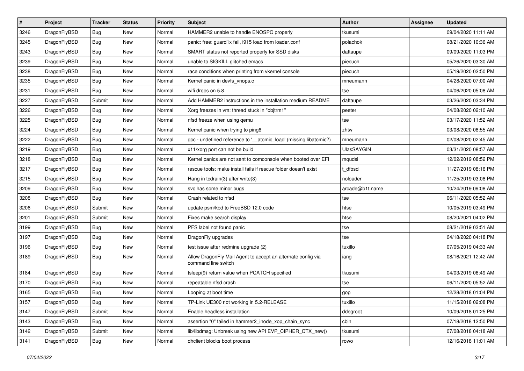| $\sharp$ | Project      | <b>Tracker</b> | <b>Status</b> | <b>Priority</b> | Subject                                                                             | <b>Author</b>     | Assignee | <b>Updated</b>      |
|----------|--------------|----------------|---------------|-----------------|-------------------------------------------------------------------------------------|-------------------|----------|---------------------|
| 3246     | DragonFlyBSD | Bug            | New           | Normal          | HAMMER2 unable to handle ENOSPC properly                                            | tkusumi           |          | 09/04/2020 11:11 AM |
| 3245     | DragonFlyBSD | Bug            | <b>New</b>    | Normal          | panic: free: guard1x fail, i915 load from loader.conf                               | polachok          |          | 08/21/2020 10:36 AM |
| 3243     | DragonFlyBSD | <b>Bug</b>     | <b>New</b>    | Normal          | SMART status not reported properly for SSD disks                                    | daftaupe          |          | 09/09/2020 11:03 PM |
| 3239     | DragonFlyBSD | <b>Bug</b>     | New           | Normal          | unable to SIGKILL glitched emacs                                                    | piecuch           |          | 05/26/2020 03:30 AM |
| 3238     | DragonFlyBSD | Bug            | <b>New</b>    | Normal          | race conditions when printing from vkernel console                                  | piecuch           |          | 05/19/2020 02:50 PM |
| 3235     | DragonFlyBSD | <b>Bug</b>     | <b>New</b>    | Normal          | Kernel panic in devfs vnops.c                                                       | mneumann          |          | 04/28/2020 07:00 AM |
| 3231     | DragonFlyBSD | Bug            | New           | Normal          | wifi drops on 5.8                                                                   | tse               |          | 04/06/2020 05:08 AM |
| 3227     | DragonFlyBSD | Submit         | New           | Normal          | Add HAMMER2 instructions in the installation medium README                          | daftaupe          |          | 03/26/2020 03:34 PM |
| 3226     | DragonFlyBSD | <b>Bug</b>     | New           | Normal          | Xorg freezes in vm: thread stuck in "objtrm1"                                       | peeter            |          | 04/08/2020 02:10 AM |
| 3225     | DragonFlyBSD | Bug            | <b>New</b>    | Normal          | nfsd freeze when using qemu                                                         | tse               |          | 03/17/2020 11:52 AM |
| 3224     | DragonFlyBSD | <b>Bug</b>     | <b>New</b>    | Normal          | Kernel panic when trying to ping6                                                   | zhtw              |          | 03/08/2020 08:55 AM |
| 3222     | DragonFlyBSD | <b>Bug</b>     | New           | Normal          | gcc - undefined reference to '_atomic_load' (missing libatomic?)                    | mneumann          |          | 02/08/2020 02:45 AM |
| 3219     | DragonFlyBSD | <b>Bug</b>     | New           | Normal          | x11/xorg port can not be build                                                      | <b>UlasSAYGIN</b> |          | 03/31/2020 08:57 AM |
| 3218     | DragonFlyBSD | <b>Bug</b>     | <b>New</b>    | Normal          | Kernel panics are not sent to comconsole when booted over EFI                       | mqudsi            |          | 12/02/2019 08:52 PM |
| 3217     | DragonFlyBSD | <b>Bug</b>     | <b>New</b>    | Normal          | rescue tools: make install fails if rescue folder doesn't exist                     | t dfbsd           |          | 11/27/2019 08:16 PM |
| 3215     | DragonFlyBSD | <b>Bug</b>     | <b>New</b>    | Normal          | Hang in tcdrain(3) after write(3)                                                   | noloader          |          | 11/25/2019 03:08 PM |
| 3209     | DragonFlyBSD | <b>Bug</b>     | New           | Normal          | svc has some minor bugs                                                             | arcade@b1t.name   |          | 10/24/2019 09:08 AM |
| 3208     | DragonFlyBSD | <b>Bug</b>     | <b>New</b>    | Normal          | Crash related to nfsd                                                               | tse               |          | 06/11/2020 05:52 AM |
| 3206     | DragonFlyBSD | Submit         | <b>New</b>    | Normal          | update psm/kbd to FreeBSD 12.0 code                                                 | htse              |          | 10/05/2019 03:49 PM |
| 3201     | DragonFlyBSD | Submit         | <b>New</b>    | Normal          | Fixes make search display                                                           | htse              |          | 08/20/2021 04:02 PM |
| 3199     | DragonFlyBSD | <b>Bug</b>     | <b>New</b>    | Normal          | PFS label not found panic                                                           | tse               |          | 08/21/2019 03:51 AM |
| 3197     | DragonFlyBSD | <b>Bug</b>     | New           | Normal          | DragonFly upgrades                                                                  | tse               |          | 04/18/2020 04:18 PM |
| 3196     | DragonFlyBSD | <b>Bug</b>     | New           | Normal          | test issue after redmine upgrade (2)                                                | tuxillo           |          | 07/05/2019 04:33 AM |
| 3189     | DragonFlyBSD | <b>Bug</b>     | New           | Normal          | Allow DragonFly Mail Agent to accept an alternate config via<br>command line switch | iang              |          | 08/16/2021 12:42 AM |
| 3184     | DragonFlyBSD | <b>Bug</b>     | <b>New</b>    | Normal          | tsleep(9) return value when PCATCH specified                                        | tkusumi           |          | 04/03/2019 06:49 AM |
| 3170     | DragonFlyBSD | <b>Bug</b>     | <b>New</b>    | Normal          | repeatable nfsd crash                                                               | tse               |          | 06/11/2020 05:52 AM |
| 3165     | DragonFlyBSD | <b>Bug</b>     | New           | Normal          | Looping at boot time                                                                | gop               |          | 12/28/2018 01:04 PM |
| 3157     | DragonFlyBSD | <b>Bug</b>     | New           | Normal          | TP-Link UE300 not working in 5.2-RELEASE                                            | tuxillo           |          | 11/15/2018 02:08 PM |
| 3147     | DragonFlyBSD | Submit         | New           | Normal          | Enable headless installation                                                        | ddegroot          |          | 10/09/2018 01:25 PM |
| 3143     | DragonFlyBSD | Bug            | <b>New</b>    | Normal          | assertion "0" failed in hammer2_inode_xop_chain_sync                                | cbin              |          | 07/18/2018 12:50 PM |
| 3142     | DragonFlyBSD | Submit         | New           | Normal          | lib/libdmsg: Unbreak using new API EVP CIPHER CTX new()                             | tkusumi           |          | 07/08/2018 04:18 AM |
| 3141     | DragonFlyBSD | <b>Bug</b>     | New           | Normal          | dhclient blocks boot process                                                        | rowo              |          | 12/16/2018 11:01 AM |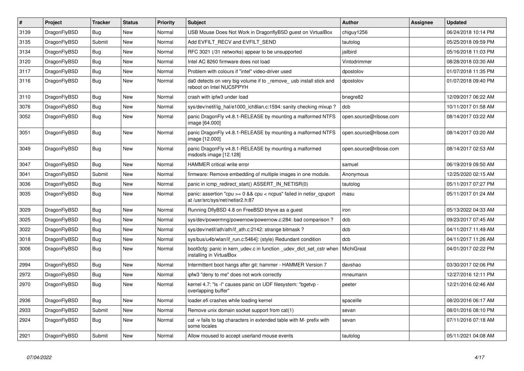| $\vert$ # | <b>Project</b> | <b>Tracker</b> | <b>Status</b> | <b>Priority</b> | <b>Subject</b>                                                                                          | <b>Author</b>          | Assignee | <b>Updated</b>      |
|-----------|----------------|----------------|---------------|-----------------|---------------------------------------------------------------------------------------------------------|------------------------|----------|---------------------|
| 3139      | DragonFlyBSD   | <b>Bug</b>     | <b>New</b>    | Normal          | USB Mouse Does Not Work in DragonflyBSD guest on VirtualBox                                             | chiguy1256             |          | 06/24/2018 10:14 PM |
| 3135      | DragonFlyBSD   | Submit         | <b>New</b>    | Normal          | Add EVFILT RECV and EVFILT SEND                                                                         | tautolog               |          | 05/25/2018 09:59 PM |
| 3134      | DragonFlyBSD   | Bug            | <b>New</b>    | Normal          | RFC 3021 (/31 networks) appear to be unsupported                                                        | jailbird               |          | 05/16/2018 11:03 PM |
| 3120      | DragonFlyBSD   | Bug            | New           | Normal          | Intel AC 8260 firmware does not load                                                                    | Vintodrimmer           |          | 08/28/2018 03:30 AM |
| 3117      | DragonFlyBSD   | Bug            | New           | Normal          | Problem with colours if "intel" video-driver used                                                       | dpostolov              |          | 01/07/2018 11:35 PM |
| 3116      | DragonFlyBSD   | <b>Bug</b>     | <b>New</b>    | Normal          | da0 detects on very big volume if to _remove_ usb install stick and<br>reboot on Intel NUC5PPYH         | dpostolov              |          | 01/07/2018 09:40 PM |
| 3110      | DragonFlyBSD   | Bug            | New           | Normal          | crash with ipfw3 under load                                                                             | bnegre82               |          | 12/09/2017 06:22 AM |
| 3076      | DragonFlyBSD   | <b>Bug</b>     | <b>New</b>    | Normal          | sys/dev/netif/ig hal/e1000 ich8lan.c:1594: sanity checking mixup?                                       | dcb                    |          | 10/11/2017 01:58 AM |
| 3052      | DragonFlyBSD   | <b>Bug</b>     | New           | Normal          | panic DragonFly v4.8.1-RELEASE by mounting a malformed NTFS<br>image [64.000]                           | open.source@ribose.com |          | 08/14/2017 03:22 AM |
| 3051      | DragonFlyBSD   | <b>Bug</b>     | <b>New</b>    | Normal          | panic DragonFly v4.8.1-RELEASE by mounting a malformed NTFS<br>image [12.000]                           | open.source@ribose.com |          | 08/14/2017 03:20 AM |
| 3049      | DragonFlyBSD   | <b>Bug</b>     | <b>New</b>    | Normal          | panic DragonFly v4.8.1-RELEASE by mounting a malformed<br>msdosfs image [12.128]                        | open.source@ribose.com |          | 08/14/2017 02:53 AM |
| 3047      | DragonFlyBSD   | Bug            | <b>New</b>    | Normal          | <b>HAMMER critical write error</b>                                                                      | samuel                 |          | 06/19/2019 09:50 AM |
| 3041      | DragonFlyBSD   | Submit         | <b>New</b>    | Normal          | firmware: Remove embedding of multiple images in one module.                                            | Anonymous              |          | 12/25/2020 02:15 AM |
| 3036      | DragonFlyBSD   | <b>Bug</b>     | <b>New</b>    | Normal          | panic in icmp redirect start() ASSERT IN NETISR(0)                                                      | tautolog               |          | 05/11/2017 07:27 PM |
| 3035      | DragonFlyBSD   | <b>Bug</b>     | <b>New</b>    | Normal          | panic: assertion "cpu >= 0 && cpu < ncpus" failed in netisr_cpuport<br>at /usr/src/sys/net/netisr2.h:87 | masu                   |          | 05/11/2017 01:24 AM |
| 3029      | DragonFlyBSD   | <b>Bug</b>     | <b>New</b>    | Normal          | Running DflyBSD 4.8 on FreeBSD bhyve as a guest                                                         | iron                   |          | 05/13/2022 04:33 AM |
| 3025      | DragonFlyBSD   | Bug            | New           | Normal          | sys/dev/powermng/powernow/powernow.c:284: bad comparison?                                               | dcb                    |          | 09/23/2017 07:45 AM |
| 3022      | DragonFlyBSD   | Bug            | <b>New</b>    | Normal          | sys/dev/netif/ath/ath/if ath.c:2142: strange bitmask?                                                   | dcb                    |          | 04/11/2017 11:49 AM |
| 3018      | DragonFlyBSD   | <b>Bug</b>     | New           | Normal          | sys/bus/u4b/wlan/if run.c:5464]: (style) Redundant condition                                            | dcb                    |          | 04/11/2017 11:26 AM |
| 3006      | DragonFlyBSD   | <b>Bug</b>     | New           | Normal          | boot0cfg: panic in kern udev.c in function udev dict set cstr when<br>installing in VirtualBox          | MichiGreat             |          | 04/01/2017 02:22 PM |
| 2994      | DragonFlyBSD   | <b>Bug</b>     | New           | Normal          | Intermittent boot hangs after git: hammer - HAMMER Version 7                                            | davshao                |          | 03/30/2017 02:06 PM |
| 2972      | DragonFlyBSD   | <b>Bug</b>     | <b>New</b>    | Normal          | ipfw3 "deny to me" does not work correctly                                                              | mneumann               |          | 12/27/2016 12:11 PM |
| 2970      | DragonFlyBSD   | Bug            | <b>New</b>    | Normal          | kernel 4.7: "Is -l" causes panic on UDF filesystem: "bgetvp -<br>overlapping buffer"                    | peeter                 |          | 12/21/2016 02:46 AM |
| 2936      | DragonFlyBSD   | Bug            | <b>New</b>    | Normal          | loader.efi crashes while loading kernel                                                                 | spaceille              |          | 08/20/2016 06:17 AM |
| 2933      | DragonFlyBSD   | Submit         | <b>New</b>    | Normal          | Remove unix domain socket support from cat(1)                                                           | sevan                  |          | 08/01/2016 08:10 PM |
| 2924      | DragonFlyBSD   | Bug            | New           | Normal          | cat -v fails to tag characters in extended table with M- prefix with<br>some locales                    | sevan                  |          | 07/11/2016 07:18 AM |
| 2921      | DragonFlyBSD   | Submit         | <b>New</b>    | Normal          | Allow moused to accept userland mouse events                                                            | tautolog               |          | 05/11/2021 04:08 AM |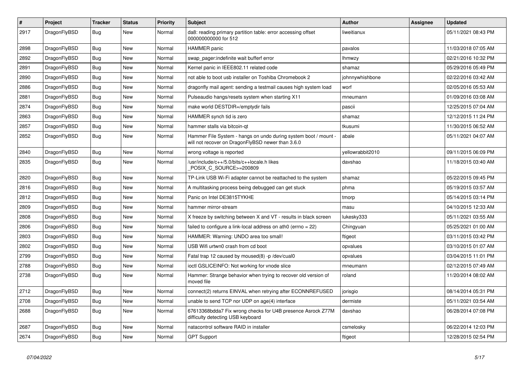| $\vert$ # | Project      | <b>Tracker</b> | <b>Status</b> | <b>Priority</b> | <b>Subject</b>                                                                                                       | <b>Author</b>    | Assignee | <b>Updated</b>      |
|-----------|--------------|----------------|---------------|-----------------|----------------------------------------------------------------------------------------------------------------------|------------------|----------|---------------------|
| 2917      | DragonFlyBSD | Bug            | <b>New</b>    | Normal          | da8: reading primary partition table: error accessing offset<br>000000000000 for 512                                 | liweitianux      |          | 05/11/2021 08:43 PM |
| 2898      | DragonFlyBSD | Bug            | <b>New</b>    | Normal          | <b>HAMMER</b> panic                                                                                                  | pavalos          |          | 11/03/2018 07:05 AM |
| 2892      | DragonFlyBSD | Bug            | <b>New</b>    | Normal          | swap pager:indefinite wait bufferf error                                                                             | <b>Ihmwzy</b>    |          | 02/21/2016 10:32 PM |
| 2891      | DragonFlyBSD | <b>Bug</b>     | <b>New</b>    | Normal          | Kernel panic in IEEE802.11 related code                                                                              | shamaz           |          | 05/29/2016 05:49 PM |
| 2890      | DragonFlyBSD | <b>Bug</b>     | New           | Normal          | not able to boot usb installer on Toshiba Chromebook 2                                                               | johnnywhishbone  |          | 02/22/2016 03:42 AM |
| 2886      | DragonFlyBSD | Bug            | New           | Normal          | dragonfly mail agent: sending a testmail causes high system load                                                     | worf             |          | 02/05/2016 05:53 AM |
| 2881      | DragonFlyBSD | <b>Bug</b>     | <b>New</b>    | Normal          | Pulseaudio hangs/resets system when starting X11                                                                     | mneumann         |          | 01/09/2016 03:08 AM |
| 2874      | DragonFlyBSD | <b>Bug</b>     | <b>New</b>    | Normal          | make world DESTDIR=/emptydir fails                                                                                   | pascii           |          | 12/25/2015 07:04 AM |
| 2863      | DragonFlyBSD | Bug            | New           | Normal          | HAMMER synch tid is zero                                                                                             | shamaz           |          | 12/12/2015 11:24 PM |
| 2857      | DragonFlyBSD | Bug            | New           | Normal          | hammer stalls via bitcoin-qt                                                                                         | tkusumi          |          | 11/30/2015 06:52 AM |
| 2852      | DragonFlyBSD | Bug            | New           | Normal          | Hammer File System - hangs on undo during system boot / mount -<br>will not recover on DragonFlyBSD newer than 3.6.0 | abale            |          | 05/11/2021 04:07 AM |
| 2840      | DragonFlyBSD | Bug            | <b>New</b>    | Normal          | wrong voltage is reported                                                                                            | yellowrabbit2010 |          | 09/11/2015 06:09 PM |
| 2835      | DragonFlyBSD | <b>Bug</b>     | New           | Normal          | /usr/include/c++/5.0/bits/c++locale.h likes<br>POSIX C SOURCE>=200809                                                | davshao          |          | 11/18/2015 03:40 AM |
| 2820      | DragonFlyBSD | Bug            | <b>New</b>    | Normal          | TP-Link USB Wi-Fi adapter cannot be reattached to the system                                                         | shamaz           |          | 05/22/2015 09:45 PM |
| 2816      | DragonFlyBSD | <b>Bug</b>     | New           | Normal          | A multitasking process being debugged can get stuck                                                                  | phma             |          | 05/19/2015 03:57 AM |
| 2812      | DragonFlyBSD | <b>Bug</b>     | <b>New</b>    | Normal          | Panic on Intel DE3815TYKHE                                                                                           | tmorp            |          | 05/14/2015 03:14 PM |
| 2809      | DragonFlyBSD | Bug            | <b>New</b>    | Normal          | hammer mirror-stream                                                                                                 | masu             |          | 04/10/2015 12:33 AM |
| 2808      | DragonFlyBSD | <b>Bug</b>     | <b>New</b>    | Normal          | X freeze by switching between X and VT - results in black screen                                                     | lukesky333       |          | 05/11/2021 03:55 AM |
| 2806      | DragonFlyBSD | <b>Bug</b>     | <b>New</b>    | Normal          | failed to configure a link-local address on ath0 (errno = 22)                                                        | Chingyuan        |          | 05/25/2021 01:00 AM |
| 2803      | DragonFlyBSD | Bug            | <b>New</b>    | Normal          | HAMMER: Warning: UNDO area too small!                                                                                | ftigeot          |          | 03/11/2015 03:42 PM |
| 2802      | DragonFlyBSD | Bug            | <b>New</b>    | Normal          | USB Wifi urtwn0 crash from cd boot                                                                                   | opvalues         |          | 03/10/2015 01:07 AM |
| 2799      | DragonFlyBSD | Bug            | New           | Normal          | Fatal trap 12 caused by moused(8) -p/dev/cual0                                                                       | opvalues         |          | 03/04/2015 11:01 PM |
| 2788      | DragonFlyBSD | <b>Bug</b>     | <b>New</b>    | Normal          | ioctl GSLICEINFO: Not working for vnode slice                                                                        | mneumann         |          | 02/12/2015 07:49 AM |
| 2738      | DragonFlyBSD | <b>Bug</b>     | New           | Normal          | Hammer: Strange behavior when trying to recover old version of<br>moved file                                         | roland           |          | 11/20/2014 08:02 AM |
| 2712      | DragonFlyBSD | <b>Bug</b>     | <b>New</b>    | Normal          | connect(2) returns EINVAL when retrying after ECONNREFUSED                                                           | jorisgio         |          | 08/14/2014 05:31 PM |
| 2708      | DragonFlyBSD | Bug            | <b>New</b>    | Normal          | unable to send TCP nor UDP on age(4) interface                                                                       | dermiste         |          | 05/11/2021 03:54 AM |
| 2688      | DragonFlyBSD | Bug            | New           | Normal          | 67613368bdda7 Fix wrong checks for U4B presence Asrock Z77M<br>difficulty detecting USB keyboard                     | davshao          |          | 06/28/2014 07:08 PM |
| 2687      | DragonFlyBSD | <b>Bug</b>     | <b>New</b>    | Normal          | natacontrol software RAID in installer                                                                               | csmelosky        |          | 06/22/2014 12:03 PM |
| 2674      | DragonFlyBSD | Bug            | <b>New</b>    | Normal          | <b>GPT Support</b>                                                                                                   | ftigeot          |          | 12/28/2015 02:54 PM |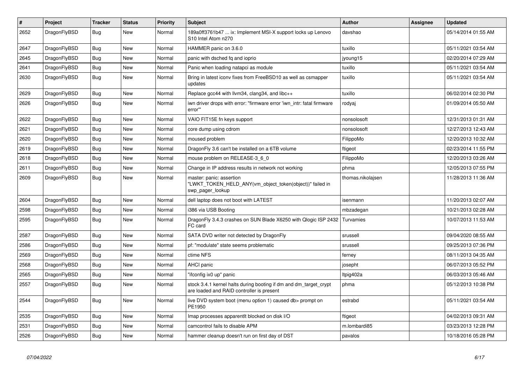| #    | <b>Project</b> | <b>Tracker</b> | <b>Status</b> | <b>Priority</b> | <b>Subject</b>                                                                                                 | <b>Author</b>     | Assignee | <b>Updated</b>      |
|------|----------------|----------------|---------------|-----------------|----------------------------------------------------------------------------------------------------------------|-------------------|----------|---------------------|
| 2652 | DragonFlyBSD   | <b>Bug</b>     | <b>New</b>    | Normal          | 189a0ff3761b47  ix: Implement MSI-X support locks up Lenovo<br>S10 Intel Atom n270                             | davshao           |          | 05/14/2014 01:55 AM |
| 2647 | DragonFlyBSD   | Bug            | <b>New</b>    | Normal          | HAMMER panic on 3.6.0                                                                                          | tuxillo           |          | 05/11/2021 03:54 AM |
| 2645 | DragonFlyBSD   | Bug            | <b>New</b>    | Normal          | panic with dsched fq and ioprio                                                                                | jyoung15          |          | 02/20/2014 07:29 AM |
| 2641 | DragonFlyBSD   | <b>Bug</b>     | <b>New</b>    | Normal          | Panic when loading natapci as module                                                                           | tuxillo           |          | 05/11/2021 03:54 AM |
| 2630 | DragonFlyBSD   | <b>Bug</b>     | <b>New</b>    | Normal          | Bring in latest iconv fixes from FreeBSD10 as well as csmapper<br>updates                                      | tuxillo           |          | 05/11/2021 03:54 AM |
| 2629 | DragonFlyBSD   | Bug            | <b>New</b>    | Normal          | Replace gcc44 with llvm34, clang34, and libc++                                                                 | tuxillo           |          | 06/02/2014 02:30 PM |
| 2626 | DragonFlyBSD   | <b>Bug</b>     | <b>New</b>    | Normal          | iwn driver drops with error: "firmware error 'iwn_intr: fatal firmware<br>error""                              | rodyaj            |          | 01/09/2014 05:50 AM |
| 2622 | DragonFlyBSD   | Bug            | <b>New</b>    | Normal          | VAIO FIT15E fn keys support                                                                                    | nonsolosoft       |          | 12/31/2013 01:31 AM |
| 2621 | DragonFlyBSD   | <b>Bug</b>     | <b>New</b>    | Normal          | core dump using cdrom                                                                                          | nonsolosoft       |          | 12/27/2013 12:43 AM |
| 2620 | DragonFlyBSD   | Bug            | <b>New</b>    | Normal          | moused problem                                                                                                 | FilippoMo         |          | 12/20/2013 10:32 AM |
| 2619 | DragonFlyBSD   | <b>Bug</b>     | <b>New</b>    | Normal          | DragonFly 3.6 can't be installed on a 6TB volume                                                               | ftigeot           |          | 02/23/2014 11:55 PM |
| 2618 | DragonFlyBSD   | <b>Bug</b>     | <b>New</b>    | Normal          | mouse problem on RELEASE-3 6 0                                                                                 | FilippoMo         |          | 12/20/2013 03:26 AM |
| 2611 | DragonFlyBSD   | <b>Bug</b>     | <b>New</b>    | Normal          | Change in IP address results in network not working                                                            | phma              |          | 12/05/2013 07:55 PM |
| 2609 | DragonFlyBSD   | Bug            | <b>New</b>    | Normal          | master: panic: assertion<br>'LWKT_TOKEN_HELD_ANY(vm_object_token(object))" failed in<br>swp_pager_lookup       | thomas.nikolajsen |          | 11/28/2013 11:36 AM |
| 2604 | DragonFlyBSD   | Bug            | <b>New</b>    | Normal          | dell laptop does not boot with LATEST                                                                          | isenmann          |          | 11/20/2013 02:07 AM |
| 2598 | DragonFlyBSD   | Bug            | <b>New</b>    | Normal          | i386 via USB Booting                                                                                           | mbzadegan         |          | 10/21/2013 02:28 AM |
| 2595 | DragonFlyBSD   | <b>Bug</b>     | <b>New</b>    | Normal          | DragonFly 3.4.3 crashes on SUN Blade X6250 with Qlogic ISP 2432<br>FC card                                     | Turvamies         |          | 10/07/2013 11:53 AM |
| 2587 | DragonFlyBSD   | Bug            | <b>New</b>    | Normal          | SATA DVD writer not detected by DragonFly                                                                      | srussell          |          | 09/04/2020 08:55 AM |
| 2586 | DragonFlyBSD   | <b>Bug</b>     | <b>New</b>    | Normal          | pf: "modulate" state seems problematic                                                                         | srussell          |          | 09/25/2013 07:36 PM |
| 2569 | DragonFlyBSD   | Bug            | <b>New</b>    | Normal          | ctime NFS                                                                                                      | ferney            |          | 08/11/2013 04:35 AM |
| 2568 | DragonFlyBSD   | Bug            | <b>New</b>    | Normal          | <b>AHCI</b> panic                                                                                              | josepht           |          | 06/07/2013 05:52 PM |
| 2565 | DragonFlyBSD   | Bug            | <b>New</b>    | Normal          | "ifconfig ix0 up" panic                                                                                        | Itpig402a         |          | 06/03/2013 05:46 AM |
| 2557 | DragonFlyBSD   | <b>Bug</b>     | <b>New</b>    | Normal          | stock 3.4.1 kernel halts during booting if dm and dm_target_crypt<br>are loaded and RAID controller is present | phma              |          | 05/12/2013 10:38 PM |
| 2544 | DragonFlyBSD   | Bug            | New           | Normal          | live DVD system boot (menu option 1) caused db> prompt on<br>PE1950                                            | estrabd           |          | 05/11/2021 03:54 AM |
| 2535 | DragonFlyBSD   | Bug            | <b>New</b>    | Normal          | Imap processes apparentlt blocked on disk I/O                                                                  | ftigeot           |          | 04/02/2013 09:31 AM |
| 2531 | DragonFlyBSD   | Bug            | <b>New</b>    | Normal          | camcontrol fails to disable APM                                                                                | m.lombardi85      |          | 03/23/2013 12:28 PM |
| 2526 | DragonFlyBSD   | Bug            | <b>New</b>    | Normal          | hammer cleanup doesn't run on first day of DST                                                                 | pavalos           |          | 10/18/2016 05:28 PM |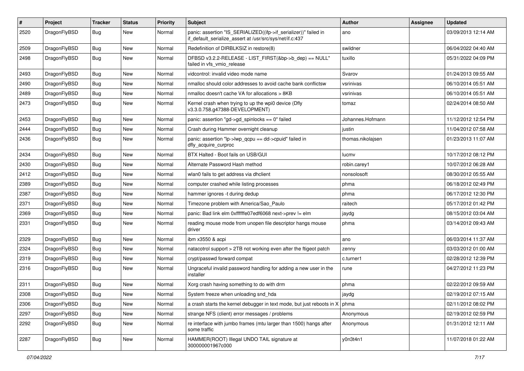| $\sharp$ | Project      | <b>Tracker</b> | <b>Status</b> | <b>Priority</b> | Subject                                                                                                                      | Author            | Assignee | <b>Updated</b>      |
|----------|--------------|----------------|---------------|-----------------|------------------------------------------------------------------------------------------------------------------------------|-------------------|----------|---------------------|
| 2520     | DragonFlyBSD | Bug            | <b>New</b>    | Normal          | panic: assertion "IS_SERIALIZED((ifp->if_serializer))" failed in<br>if_default_serialize_assert at /usr/src/sys/net/if.c:437 | ano               |          | 03/09/2013 12:14 AM |
| 2509     | DragonFlyBSD | Bug            | <b>New</b>    | Normal          | Redefinition of DIRBLKSIZ in restore(8)                                                                                      | swildner          |          | 06/04/2022 04:40 AM |
| 2498     | DragonFlyBSD | Bug            | New           | Normal          | DFBSD v3.2.2-RELEASE - LIST_FIRST(&bp->b_dep) == NULL"<br>failed in vfs vmio release                                         | tuxillo           |          | 05/31/2022 04:09 PM |
| 2493     | DragonFlyBSD | Bug            | <b>New</b>    | Normal          | vidcontrol: invalid video mode name                                                                                          | Svarov            |          | 01/24/2013 09:55 AM |
| 2490     | DragonFlyBSD | <b>Bug</b>     | <b>New</b>    | Normal          | nmalloc should color addresses to avoid cache bank conflictsw                                                                | vsrinivas         |          | 06/10/2014 05:51 AM |
| 2489     | DragonFlyBSD | <b>Bug</b>     | <b>New</b>    | Normal          | nmalloc doesn't cache VA for allocations > 8KB                                                                               | vsrinivas         |          | 06/10/2014 05:51 AM |
| 2473     | DragonFlyBSD | <b>Bug</b>     | <b>New</b>    | Normal          | Kernel crash when trying to up the wpi0 device (Dfly<br>v3.3.0.758.g47388-DEVELOPMENT)                                       | tomaz             |          | 02/24/2014 08:50 AM |
| 2453     | DragonFlyBSD | Bug            | <b>New</b>    | Normal          | panic: assertion "gd->gd_spinlocks == 0" failed                                                                              | Johannes.Hofmann  |          | 11/12/2012 12:54 PM |
| 2444     | DragonFlyBSD | <b>Bug</b>     | <b>New</b>    | Normal          | Crash during Hammer overnight cleanup                                                                                        | justin            |          | 11/04/2012 07:58 AM |
| 2436     | DragonFlyBSD | Bug            | <b>New</b>    | Normal          | panic: assertion "lp->lwp_qcpu == dd->cpuid" failed in<br>dfly_acquire_curproc                                               | thomas.nikolajsen |          | 01/23/2013 11:07 AM |
| 2434     | DragonFlyBSD | Bug            | <b>New</b>    | Normal          | BTX Halted - Boot fails on USB/GUI                                                                                           | lucmv             |          | 10/17/2012 08:12 PM |
| 2430     | DragonFlyBSD | <b>Bug</b>     | <b>New</b>    | Normal          | Alternate Password Hash method                                                                                               | robin.carey1      |          | 10/07/2012 06:28 AM |
| 2412     | DragonFlyBSD | <b>Bug</b>     | <b>New</b>    | Normal          | wlan0 fails to get address via dhclient                                                                                      | nonsolosoft       |          | 08/30/2012 05:55 AM |
| 2389     | DragonFlyBSD | Bug            | <b>New</b>    | Normal          | computer crashed while listing processes                                                                                     | phma              |          | 06/18/2012 02:49 PM |
| 2387     | DragonFlyBSD | <b>Bug</b>     | <b>New</b>    | Normal          | hammer ignores -t during dedup                                                                                               | phma              |          | 06/17/2012 12:30 PM |
| 2371     | DragonFlyBSD | <b>Bug</b>     | New           | Normal          | Timezone problem with America/Sao_Paulo                                                                                      | raitech           |          | 05/17/2012 01:42 PM |
| 2369     | DragonFlyBSD | Bug            | <b>New</b>    | Normal          | panic: Bad link elm 0xffffffe07edf6068 next->prev != elm                                                                     | jaydg             |          | 08/15/2012 03:04 AM |
| 2331     | DragonFlyBSD | Bug            | New           | Normal          | reading mouse mode from unopen file descriptor hangs mouse<br>driver                                                         | phma              |          | 03/14/2012 09:43 AM |
| 2329     | DragonFlyBSD | Bug            | <b>New</b>    | Normal          | ibm x3550 & acpi                                                                                                             | ano               |          | 06/03/2014 11:37 AM |
| 2324     | DragonFlyBSD | Bug            | <b>New</b>    | Normal          | natacotrol support > 2TB not working even after the ftigeot patch                                                            | zenny             |          | 03/03/2012 01:00 AM |
| 2319     | DragonFlyBSD | Bug            | <b>New</b>    | Normal          | crypt/passwd forward compat                                                                                                  | c.turner1         |          | 02/28/2012 12:39 PM |
| 2316     | DragonFlyBSD | Bug            | <b>New</b>    | Normal          | Ungraceful invalid password handling for adding a new user in the<br>installer                                               | rune              |          | 04/27/2012 11:23 PM |
| 2311     | DragonFlyBSD | Bug            | <b>New</b>    | Normal          | Xorg crash having something to do with drm                                                                                   | phma              |          | 02/22/2012 09:59 AM |
| 2308     | DragonFlyBSD | <b>Bug</b>     | New           | Normal          | System freeze when unloading snd hda                                                                                         | jaydg             |          | 02/19/2012 07:15 AM |
| 2306     | DragonFlyBSD | Bug            | New           | Normal          | a crash starts the kernel debugger in text mode, but just reboots in X                                                       | phma              |          | 02/11/2012 08:02 PM |
| 2297     | DragonFlyBSD | Bug            | New           | Normal          | strange NFS (client) error messages / problems                                                                               | Anonymous         |          | 02/19/2012 02:59 PM |
| 2292     | DragonFlyBSD | <b>Bug</b>     | New           | Normal          | re interface with jumbo frames (mtu larger than 1500) hangs after<br>some traffic                                            | Anonymous         |          | 01/31/2012 12:11 AM |
| 2287     | DragonFlyBSD | <b>Bug</b>     | New           | Normal          | HAMMER(ROOT) Illegal UNDO TAIL signature at<br>300000001967c000                                                              | y0n3t4n1          |          | 11/07/2018 01:22 AM |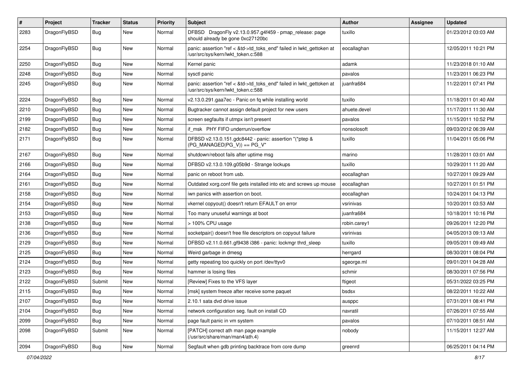| #    | Project      | <b>Tracker</b> | <b>Status</b> | <b>Priority</b> | Subject                                                                                                    | <b>Author</b> | Assignee | <b>Updated</b>      |
|------|--------------|----------------|---------------|-----------------|------------------------------------------------------------------------------------------------------------|---------------|----------|---------------------|
| 2283 | DragonFlyBSD | Bug            | <b>New</b>    | Normal          | DFBSD DragonFly v2.13.0.957.g4f459 - pmap_release: page<br>should already be gone 0xc27120bc               | tuxillo       |          | 01/23/2012 03:03 AM |
| 2254 | DragonFlyBSD | Bug            | <b>New</b>    | Normal          | panic: assertion "ref < &td->td_toks_end" failed in lwkt_gettoken at<br>/usr/src/sys/kern/lwkt token.c:588 | eocallaghan   |          | 12/05/2011 10:21 PM |
| 2250 | DragonFlyBSD | Bug            | <b>New</b>    | Normal          | Kernel panic                                                                                               | adamk         |          | 11/23/2018 01:10 AM |
| 2248 | DragonFlyBSD | Bug            | New           | Normal          | sysctl panic                                                                                               | pavalos       |          | 11/23/2011 06:23 PM |
| 2245 | DragonFlyBSD | Bug            | <b>New</b>    | Normal          | panic: assertion "ref < &td->td_toks_end" failed in lwkt_gettoken at<br>/usr/src/sys/kern/lwkt_token.c:588 | juanfra684    |          | 11/22/2011 07:41 PM |
| 2224 | DragonFlyBSD | Bug            | <b>New</b>    | Normal          | v2.13.0.291.gaa7ec - Panic on fq while installing world                                                    | tuxillo       |          | 11/18/2011 01:40 AM |
| 2210 | DragonFlyBSD | <b>Bug</b>     | <b>New</b>    | Normal          | Bugtracker cannot assign default project for new users                                                     | ahuete.devel  |          | 11/17/2011 11:30 AM |
| 2199 | DragonFlyBSD | Bug            | New           | Normal          | screen segfaults if utmpx isn't present                                                                    | pavalos       |          | 11/15/2011 10:52 PM |
| 2182 | DragonFlyBSD | Bug            | <b>New</b>    | Normal          | if msk PHY FIFO underrun/overflow                                                                          | nonsolosoft   |          | 09/03/2012 06:39 AM |
| 2171 | DragonFlyBSD | Bug            | <b>New</b>    | Normal          | DFBSD v2.13.0.151.gdc8442 - panic: assertion "(*ptep &<br>$(PG_MANAGED PG_V)$ == PG_V"                     | tuxillo       |          | 11/04/2011 05:06 PM |
| 2167 | DragonFlyBSD | Bug            | <b>New</b>    | Normal          | shutdown/reboot fails after uptime msg                                                                     | marino        |          | 11/28/2011 03:01 AM |
| 2166 | DragonFlyBSD | Bug            | <b>New</b>    | Normal          | DFBSD v2.13.0.109.g05b9d - Strange lockups                                                                 | tuxillo       |          | 10/29/2011 11:20 AM |
| 2164 | DragonFlyBSD | <b>Bug</b>     | New           | Normal          | panic on reboot from usb.                                                                                  | eocallaghan   |          | 10/27/2011 09:29 AM |
| 2161 | DragonFlyBSD | Bug            | <b>New</b>    | Normal          | Outdated xorg.conf file gets installed into etc and screws up mouse                                        | eocallaghan   |          | 10/27/2011 01:51 PM |
| 2158 | DragonFlyBSD | Bug            | New           | Normal          | iwn panics with assertion on boot.                                                                         | eocallaghan   |          | 10/24/2011 04:13 PM |
| 2154 | DragonFlyBSD | <b>Bug</b>     | <b>New</b>    | Normal          | vkernel copyout() doesn't return EFAULT on error                                                           | vsrinivas     |          | 10/20/2011 03:53 AM |
| 2153 | DragonFlyBSD | <b>Bug</b>     | New           | Normal          | Too many unuseful warnings at boot                                                                         | juanfra684    |          | 10/18/2011 10:16 PM |
| 2138 | DragonFlyBSD | <b>Bug</b>     | <b>New</b>    | Normal          | > 100% CPU usage                                                                                           | robin.carey1  |          | 09/26/2011 12:20 PM |
| 2136 | DragonFlyBSD | <b>Bug</b>     | New           | Normal          | socketpair() doesn't free file descriptors on copyout failure                                              | vsrinivas     |          | 04/05/2013 09:13 AM |
| 2129 | DragonFlyBSD | Bug            | <b>New</b>    | Normal          | DFBSD v2.11.0.661.gf9438 i386 - panic: lockmgr thrd sleep                                                  | tuxillo       |          | 09/05/2011 09:49 AM |
| 2125 | DragonFlyBSD | <b>Bug</b>     | New           | Normal          | Weird garbage in dmesg                                                                                     | herrgard      |          | 08/30/2011 08:04 PM |
| 2124 | DragonFlyBSD | <b>Bug</b>     | <b>New</b>    | Normal          | getty repeating too quickly on port /dev/ttyv0                                                             | sgeorge.ml    |          | 09/01/2011 04:28 AM |
| 2123 | DragonFlyBSD | <b>Bug</b>     | New           | Normal          | hammer is losing files                                                                                     | schmir        |          | 08/30/2011 07:56 PM |
| 2122 | DragonFlyBSD | Submit         | New           | Normal          | [Review] Fixes to the VFS layer                                                                            | ftigeot       |          | 05/31/2022 03:25 PM |
| 2115 | DragonFlyBSD | <b>Bug</b>     | New           | Normal          | [msk] system freeze after receive some paquet                                                              | bsdsx         |          | 08/22/2011 10:22 AM |
| 2107 | DragonFlyBSD | <b>Bug</b>     | New           | Normal          | 2.10.1 sata dvd drive issue                                                                                | ausppc        |          | 07/31/2011 08:41 PM |
| 2104 | DragonFlyBSD | <b>Bug</b>     | New           | Normal          | network configuration seg. fault on install CD                                                             | navratil      |          | 07/26/2011 07:55 AM |
| 2099 | DragonFlyBSD | <b>Bug</b>     | New           | Normal          | page fault panic in vm system                                                                              | pavalos       |          | 07/10/2011 08:51 AM |
| 2098 | DragonFlyBSD | Submit         | New           | Normal          | [PATCH] correct ath man page example<br>(/usr/src/share/man/man4/ath.4)                                    | nobody        |          | 11/15/2011 12:27 AM |
| 2094 | DragonFlyBSD | Bug            | New           | Normal          | Segfault when gdb printing backtrace from core dump                                                        | greenrd       |          | 06/25/2011 04:14 PM |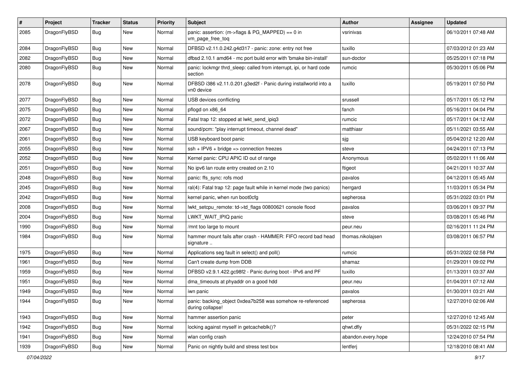| $\sharp$ | Project      | <b>Tracker</b> | <b>Status</b> | <b>Priority</b> | Subject                                                                        | <b>Author</b>      | <b>Assignee</b> | <b>Updated</b>      |
|----------|--------------|----------------|---------------|-----------------|--------------------------------------------------------------------------------|--------------------|-----------------|---------------------|
| 2085     | DragonFlyBSD | Bug            | New           | Normal          | panic: assertion: (m->flags & PG_MAPPED) == 0 in<br>vm_page_free_toq           | vsrinivas          |                 | 06/10/2011 07:48 AM |
| 2084     | DragonFlyBSD | <b>Bug</b>     | New           | Normal          | DFBSD v2.11.0.242.g4d317 - panic: zone: entry not free                         | tuxillo            |                 | 07/03/2012 01:23 AM |
| 2082     | DragonFlyBSD | <b>Bug</b>     | <b>New</b>    | Normal          | dfbsd 2.10.1 amd64 - mc port build error with 'bmake bin-install'              | sun-doctor         |                 | 05/25/2011 07:18 PM |
| 2080     | DragonFlyBSD | <b>Bug</b>     | New           | Normal          | panic: lockmgr thrd_sleep: called from interrupt, ipi, or hard code<br>section | rumcic             |                 | 05/30/2011 05:06 PM |
| 2078     | DragonFlyBSD | Bug            | New           | Normal          | DFBSD i386 v2.11.0.201.g3ed2f - Panic during installworld into a<br>vn0 device | tuxillo            |                 | 05/19/2011 07:50 PM |
| 2077     | DragonFlyBSD | Bug            | New           | Normal          | USB devices conflicting                                                        | srussell           |                 | 05/17/2011 05:12 PM |
| 2075     | DragonFlyBSD | Bug            | <b>New</b>    | Normal          | pflogd on x86_64                                                               | fanch              |                 | 05/16/2011 04:04 PM |
| 2072     | DragonFlyBSD | Bug            | New           | Normal          | Fatal trap 12: stopped at lwkt_send_ipiq3                                      | rumcic             |                 | 05/17/2011 04:12 AM |
| 2067     | DragonFlyBSD | <b>Bug</b>     | <b>New</b>    | Normal          | sound/pcm: "play interrupt timeout, channel dead"                              | matthiasr          |                 | 05/11/2021 03:55 AM |
| 2061     | DragonFlyBSD | Bug            | <b>New</b>    | Normal          | USB keyboard boot panic                                                        | sjg                |                 | 05/04/2012 12:20 AM |
| 2055     | DragonFlyBSD | <b>Bug</b>     | <b>New</b>    | Normal          | $ssh + IPV6 + bridge \Rightarrow$ connection freezes                           | steve              |                 | 04/24/2011 07:13 PM |
| 2052     | DragonFlyBSD | <b>Bug</b>     | New           | Normal          | Kernel panic: CPU APIC ID out of range                                         | Anonymous          |                 | 05/02/2011 11:06 AM |
| 2051     | DragonFlyBSD | <b>Bug</b>     | <b>New</b>    | Normal          | No ipv6 lan route entry created on 2.10                                        | ftigeot            |                 | 04/21/2011 10:37 AM |
| 2048     | DragonFlyBSD | <b>Bug</b>     | New           | Normal          | panic: ffs_sync: rofs mod                                                      | pavalos            |                 | 04/12/2011 05:45 AM |
| 2045     | DragonFlyBSD | Bug            | New           | Normal          | ral(4): Fatal trap 12: page fault while in kernel mode (two panics)            | herrgard           |                 | 11/03/2011 05:34 PM |
| 2042     | DragonFlyBSD | <b>Bug</b>     | New           | Normal          | kernel panic, when run boot0cfg                                                | sepherosa          |                 | 05/31/2022 03:01 PM |
| 2008     | DragonFlyBSD | <b>Bug</b>     | <b>New</b>    | Normal          | lwkt_setcpu_remote: td->td_flags 00800621 console flood                        | pavalos            |                 | 03/06/2011 09:37 PM |
| 2004     | DragonFlyBSD | Bug            | <b>New</b>    | Normal          | LWKT_WAIT_IPIQ panic                                                           | steve              |                 | 03/08/2011 05:46 PM |
| 1990     | DragonFlyBSD | <b>Bug</b>     | New           | Normal          | /mnt too large to mount                                                        | peur.neu           |                 | 02/16/2011 11:24 PM |
| 1984     | DragonFlyBSD | Bug            | New           | Normal          | hammer mount fails after crash - HAMMER: FIFO record bad head<br>signature     | thomas.nikolajsen  |                 | 03/08/2011 06:57 PM |
| 1975     | DragonFlyBSD | <b>Bug</b>     | <b>New</b>    | Normal          | Applications seg fault in select() and poll()                                  | rumcic             |                 | 05/31/2022 02:58 PM |
| 1961     | DragonFlyBSD | <b>Bug</b>     | New           | Normal          | Can't create dump from DDB                                                     | shamaz             |                 | 01/29/2011 09:02 PM |
| 1959     | DragonFlyBSD | <b>Bug</b>     | <b>New</b>    | Normal          | DFBSD v2.9.1.422.gc98f2 - Panic during boot - IPv6 and PF                      | tuxillo            |                 | 01/13/2011 03:37 AM |
| 1951     | DragonFlyBSD | <b>Bug</b>     | New           | Normal          | dma_timeouts at phyaddr on a good hdd                                          | peur.neu           |                 | 01/04/2011 07:12 AM |
| 1949     | DragonFlyBSD | <b>Bug</b>     | New           | Normal          | iwn panic                                                                      | pavalos            |                 | 01/30/2011 03:21 AM |
| 1944     | DragonFlyBSD | <b>Bug</b>     | New           | Normal          | panic: backing_object 0xdea7b258 was somehow re-referenced<br>during collapse! | sepherosa          |                 | 12/27/2010 02:06 AM |
| 1943     | DragonFlyBSD | <b>Bug</b>     | New           | Normal          | hammer assertion panic                                                         | peter              |                 | 12/27/2010 12:45 AM |
| 1942     | DragonFlyBSD | <b>Bug</b>     | New           | Normal          | locking against myself in getcacheblk()?                                       | qhwt.dfly          |                 | 05/31/2022 02:15 PM |
| 1941     | DragonFlyBSD | <b>Bug</b>     | New           | Normal          | wlan config crash                                                              | abandon.every.hope |                 | 12/24/2010 07:54 PM |
| 1939     | DragonFlyBSD | <b>Bug</b>     | New           | Normal          | Panic on nightly build and stress test box                                     | lentferj           |                 | 12/18/2010 08:41 AM |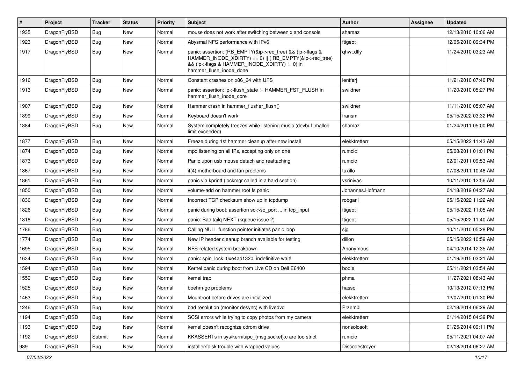| $\sharp$ | Project      | <b>Tracker</b> | <b>Status</b> | <b>Priority</b> | Subject                                                                                                                                                                                           | <b>Author</b>    | Assignee | <b>Updated</b>      |
|----------|--------------|----------------|---------------|-----------------|---------------------------------------------------------------------------------------------------------------------------------------------------------------------------------------------------|------------------|----------|---------------------|
| 1935     | DragonFlyBSD | <b>Bug</b>     | New           | Normal          | mouse does not work after switching between x and console                                                                                                                                         | shamaz           |          | 12/13/2010 10:06 AM |
| 1923     | DragonFlyBSD | Bug            | New           | Normal          | Abysmal NFS performance with IPv6                                                                                                                                                                 | ftigeot          |          | 12/05/2010 09:34 PM |
| 1917     | DragonFlyBSD | <b>Bug</b>     | New           | Normal          | panic: assertion: (RB_EMPTY(&ip->rec_tree) && (ip->flags &<br>HAMMER_INODE_XDIRTY) == 0)    (!RB_EMPTY(&ip->rec_tree)<br>&& (ip->flags & HAMMER_INODE_XDIRTY) != 0) in<br>hammer_flush_inode_done | qhwt.dfly        |          | 11/24/2010 03:23 AM |
| 1916     | DragonFlyBSD | Bug            | <b>New</b>    | Normal          | Constant crashes on x86_64 with UFS                                                                                                                                                               | lentferj         |          | 11/21/2010 07:40 PM |
| 1913     | DragonFlyBSD | Bug            | <b>New</b>    | Normal          | panic: assertion: ip->flush_state != HAMMER_FST_FLUSH in<br>hammer flush inode core                                                                                                               | swildner         |          | 11/20/2010 05:27 PM |
| 1907     | DragonFlyBSD | <b>Bug</b>     | New           | Normal          | Hammer crash in hammer flusher flush()                                                                                                                                                            | swildner         |          | 11/11/2010 05:07 AM |
| 1899     | DragonFlyBSD | Bug            | New           | Normal          | Keyboard doesn't work                                                                                                                                                                             | fransm           |          | 05/15/2022 03:32 PM |
| 1884     | DragonFlyBSD | Bug            | New           | Normal          | System completely freezes while listening music (devbuf: malloc<br>limit exceeded)                                                                                                                | shamaz           |          | 01/24/2011 05:00 PM |
| 1877     | DragonFlyBSD | Bug            | <b>New</b>    | Normal          | Freeze during 1st hammer cleanup after new install                                                                                                                                                | elekktretterr    |          | 05/15/2022 11:43 AM |
| 1874     | DragonFlyBSD | Bug            | New           | Normal          | mpd listening on all IPs, accepting only on one                                                                                                                                                   | rumcic           |          | 05/08/2011 01:01 PM |
| 1873     | DragonFlyBSD | Bug            | <b>New</b>    | Normal          | Panic upon usb mouse detach and reattaching                                                                                                                                                       | rumcic           |          | 02/01/2011 09:53 AM |
| 1867     | DragonFlyBSD | Bug            | <b>New</b>    | Normal          | it(4) motherboard and fan problems                                                                                                                                                                | tuxillo          |          | 07/08/2011 10:48 AM |
| 1861     | DragonFlyBSD | Bug            | <b>New</b>    | Normal          | panic via kprintf (lockmgr called in a hard section)                                                                                                                                              | vsrinivas        |          | 10/11/2010 12:56 AM |
| 1850     | DragonFlyBSD | Bug            | New           | Normal          | volume-add on hammer root fs panic                                                                                                                                                                | Johannes.Hofmann |          | 04/18/2019 04:27 AM |
| 1836     | DragonFlyBSD | Bug            | New           | Normal          | Incorrect TCP checksum show up in tcpdump                                                                                                                                                         | robgar1          |          | 05/15/2022 11:22 AM |
| 1826     | DragonFlyBSD | Bug            | New           | Normal          | panic during boot: assertion so->so_port  in tcp_input                                                                                                                                            | ftigeot          |          | 05/15/2022 11:05 AM |
| 1818     | DragonFlyBSD | Bug            | New           | Normal          | panic: Bad tailq NEXT (kqueue issue ?)                                                                                                                                                            | ftigeot          |          | 05/15/2022 11:40 AM |
| 1786     | DragonFlyBSD | Bug            | New           | Normal          | Calling NULL function pointer initiates panic loop                                                                                                                                                | sjg              |          | 10/11/2010 05:28 PM |
| 1774     | DragonFlyBSD | Bug            | New           | Normal          | New IP header cleanup branch available for testing                                                                                                                                                | dillon           |          | 05/15/2022 10:59 AM |
| 1695     | DragonFlyBSD | Bug            | New           | Normal          | NFS-related system breakdown                                                                                                                                                                      | Anonymous        |          | 04/10/2014 12:35 AM |
| 1634     | DragonFlyBSD | Bug            | <b>New</b>    | Normal          | panic: spin_lock: 0xe4ad1320, indefinitive wait!                                                                                                                                                  | elekktretterr    |          | 01/19/2015 03:21 AM |
| 1594     | DragonFlyBSD | Bug            | New           | Normal          | Kernel panic during boot from Live CD on Dell E6400                                                                                                                                               | bodie            |          | 05/11/2021 03:54 AM |
| 1559     | DragonFlyBSD | <b>Bug</b>     | New           | Normal          | kernel trap                                                                                                                                                                                       | phma             |          | 11/27/2021 08:43 AM |
| 1525     | DragonFlyBSD | <b>Bug</b>     | New           | Normal          | boehm-gc problems                                                                                                                                                                                 | hasso            |          | 10/13/2012 07:13 PM |
| 1463     | DragonFlyBSD | <b>Bug</b>     | New           | Normal          | Mountroot before drives are initialized                                                                                                                                                           | elekktretterr    |          | 12/07/2010 01:30 PM |
| 1246     | DragonFlyBSD | <b>Bug</b>     | <b>New</b>    | Normal          | bad resolution (monitor desync) with livedvd                                                                                                                                                      | Przem0l          |          | 02/18/2014 06:29 AM |
| 1194     | DragonFlyBSD | <b>Bug</b>     | New           | Normal          | SCSI errors while trying to copy photos from my camera                                                                                                                                            | elekktretterr    |          | 01/14/2015 04:39 PM |
| 1193     | DragonFlyBSD | <b>Bug</b>     | New           | Normal          | kernel doesn't recognize cdrom drive                                                                                                                                                              | nonsolosoft      |          | 01/25/2014 09:11 PM |
| 1192     | DragonFlyBSD | Submit         | <b>New</b>    | Normal          | KKASSERTs in sys/kern/uipc_{msg,socket}.c are too strict                                                                                                                                          | rumcic           |          | 05/11/2021 04:07 AM |
| 989      | DragonFlyBSD | <b>Bug</b>     | New           | Normal          | installer/fdisk trouble with wrapped values                                                                                                                                                       | Discodestroyer   |          | 02/18/2014 06:27 AM |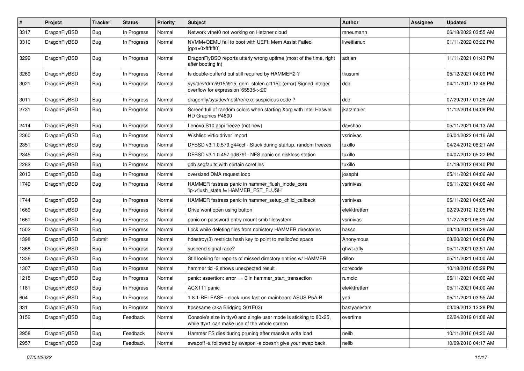| $\pmb{\#}$ | Project      | <b>Tracker</b> | <b>Status</b> | <b>Priority</b> | Subject                                                                                                            | <b>Author</b> | Assignee | <b>Updated</b>      |
|------------|--------------|----------------|---------------|-----------------|--------------------------------------------------------------------------------------------------------------------|---------------|----------|---------------------|
| 3317       | DragonFlyBSD | Bug            | In Progress   | Normal          | Network vtnet0 not working on Hetzner cloud                                                                        | mneumann      |          | 06/18/2022 03:55 AM |
| 3310       | DragonFlyBSD | Bug            | In Progress   | Normal          | NVMM+QEMU fail to boot with UEFI: Mem Assist Failed<br>[gpa=0xfffffff0]                                            | liweitianux   |          | 01/11/2022 03:22 PM |
| 3299       | DragonFlyBSD | Bug            | In Progress   | Normal          | DragonFlyBSD reports utterly wrong uptime (most of the time, right<br>after booting in)                            | adrian        |          | 11/11/2021 01:43 PM |
| 3269       | DragonFlyBSD | <b>Bug</b>     | In Progress   | Normal          | Is double-buffer'd buf still required by HAMMER2?                                                                  | tkusumi       |          | 05/12/2021 04:09 PM |
| 3021       | DragonFlyBSD | Bug            | In Progress   | Normal          | sys/dev/drm/i915/i915_gem_stolen.c:115]: (error) Signed integer<br>overflow for expression '65535<<20'             | dcb           |          | 04/11/2017 12:46 PM |
| 3011       | DragonFlyBSD | Bug            | In Progress   | Normal          | dragonfly/sys/dev/netif/re/re.c: suspicious code?                                                                  | dcb           |          | 07/29/2017 01:26 AM |
| 2731       | DragonFlyBSD | Bug            | In Progress   | Normal          | Screen full of random colors when starting Xorg with Intel Haswell<br>HD Graphics P4600                            | ikatzmaier    |          | 11/12/2014 04:08 PM |
| 2414       | DragonFlyBSD | Bug            | In Progress   | Normal          | Lenovo S10 acpi freeze (not new)                                                                                   | davshao       |          | 05/11/2021 04:13 AM |
| 2360       | DragonFlyBSD | <b>Bug</b>     | In Progress   | Normal          | Wishlist: virtio driver import                                                                                     | vsrinivas     |          | 06/04/2022 04:16 AM |
| 2351       | DragonFlyBSD | Bug            | In Progress   | Normal          | DFBSD v3.1.0.579.g44ccf - Stuck during startup, random freezes                                                     | tuxillo       |          | 04/24/2012 08:21 AM |
| 2345       | DragonFlyBSD | Bug            | In Progress   | Normal          | DFBSD v3.1.0.457.gd679f - NFS panic on diskless station                                                            | tuxillo       |          | 04/07/2012 05:22 PM |
| 2282       | DragonFlyBSD | Bug            | In Progress   | Normal          | gdb segfaults with certain corefiles                                                                               | tuxillo       |          | 01/18/2012 04:40 PM |
| 2013       | DragonFlyBSD | Bug            | In Progress   | Normal          | oversized DMA request loop                                                                                         | josepht       |          | 05/11/2021 04:06 AM |
| 1749       | DragonFlyBSD | Bug            | In Progress   | Normal          | HAMMER fsstress panic in hammer_flush_inode_core<br>'ip->flush_state != HAMMER_FST_FLUSH'                          | vsrinivas     |          | 05/11/2021 04:06 AM |
| 1744       | DragonFlyBSD | Bug            | In Progress   | Normal          | HAMMER fsstress panic in hammer_setup_child_callback                                                               | vsrinivas     |          | 05/11/2021 04:05 AM |
| 1669       | DragonFlyBSD | <b>Bug</b>     | In Progress   | Normal          | Drive wont open using button                                                                                       | elekktretterr |          | 02/29/2012 12:05 PM |
| 1661       | DragonFlyBSD | <b>Bug</b>     | In Progress   | Normal          | panic on password entry mount smb filesystem                                                                       | vsrinivas     |          | 11/27/2021 08:29 AM |
| 1502       | DragonFlyBSD | Bug            | In Progress   | Normal          | Lock while deleting files from nohistory HAMMER directories                                                        | hasso         |          | 03/10/2013 04:28 AM |
| 1398       | DragonFlyBSD | Submit         | In Progress   | Normal          | hdestroy(3) restricts hash key to point to malloc'ed space                                                         | Anonymous     |          | 08/20/2021 04:06 PM |
| 1368       | DragonFlyBSD | Bug            | In Progress   | Normal          | suspend signal race?                                                                                               | qhwt+dfly     |          | 05/11/2021 03:51 AM |
| 1336       | DragonFlyBSD | Bug            | In Progress   | Normal          | Still looking for reports of missed directory entries w/ HAMMER                                                    | dillon        |          | 05/11/2021 04:00 AM |
| 1307       | DragonFlyBSD | Bug            | In Progress   | Normal          | hammer tid -2 shows unexpected result                                                                              | corecode      |          | 10/18/2016 05:29 PM |
| 1218       | DragonFlyBSD | Bug            | In Progress   | Normal          | panic: assertion: error == 0 in hammer_start_transaction                                                           | rumcic        |          | 05/11/2021 04:00 AM |
| 1181       | DragonFlyBSD | Bug            | In Progress   | Normal          | ACX111 panic                                                                                                       | elekktretterr |          | 05/11/2021 04:00 AM |
| 604        | DragonFlyBSD | Bug            | In Progress   | Normal          | 1.8.1-RELEASE - clock runs fast on mainboard ASUS P5A-B                                                            | yeti          |          | 05/11/2021 03:55 AM |
| 331        | DragonFlyBSD | Bug            | In Progress   | Normal          | ftpsesame (aka Bridging S01E03)                                                                                    | bastyaelvtars |          | 03/09/2013 12:28 PM |
| 3152       | DragonFlyBSD | <b>Bug</b>     | Feedback      | Normal          | Console's size in ttyv0 and single user mode is sticking to 80x25,<br>while ttyv1 can make use of the whole screen | overtime      |          | 02/24/2019 01:08 AM |
| 2958       | DragonFlyBSD | Bug            | Feedback      | Normal          | Hammer FS dies during pruning after massive write load                                                             | neilb         |          | 10/11/2016 04:20 AM |
| 2957       | DragonFlyBSD | <b>Bug</b>     | Feedback      | Normal          | swapoff -a followed by swapon -a doesn't give your swap back                                                       | neilb         |          | 10/09/2016 04:17 AM |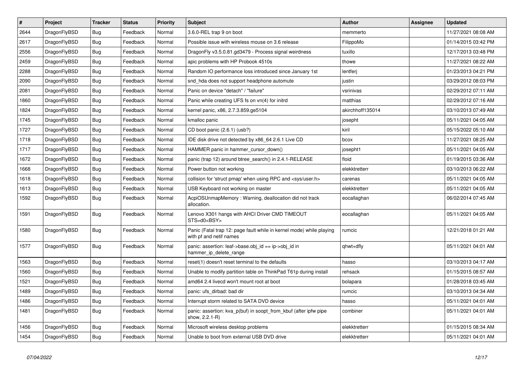| $\vert$ # | <b>Project</b> | <b>Tracker</b> | <b>Status</b> | <b>Priority</b> | <b>Subject</b>                                                                                  | Author           | Assignee | <b>Updated</b>      |
|-----------|----------------|----------------|---------------|-----------------|-------------------------------------------------------------------------------------------------|------------------|----------|---------------------|
| 2644      | DragonFlyBSD   | Bug            | Feedback      | Normal          | 3.6.0-REL trap 9 on boot                                                                        | memmerto         |          | 11/27/2021 08:08 AM |
| 2617      | DragonFlyBSD   | <b>Bug</b>     | Feedback      | Normal          | Possible issue with wireless mouse on 3.6 release                                               | FilippoMo        |          | 01/14/2015 03:42 PM |
| 2556      | DragonFlyBSD   | <b>Bug</b>     | Feedback      | Normal          | DragonFly v3.5.0.81.gd3479 - Process signal weirdness                                           | tuxillo          |          | 12/17/2013 03:48 PM |
| 2459      | DragonFlyBSD   | Bug            | Feedback      | Normal          | apic problems with HP Probook 4510s                                                             | thowe            |          | 11/27/2021 08:22 AM |
| 2288      | DragonFlyBSD   | <b>Bug</b>     | Feedback      | Normal          | Random IO performance loss introduced since January 1st                                         | lentferj         |          | 01/23/2013 04:21 PM |
| 2090      | DragonFlyBSD   | <b>Bug</b>     | Feedback      | Normal          | snd hda does not support headphone automute                                                     | justin           |          | 03/29/2012 08:03 PM |
| 2081      | DragonFlyBSD   | <b>Bug</b>     | Feedback      | Normal          | Panic on device "detach" / "failure"                                                            | vsrinivas        |          | 02/29/2012 07:11 AM |
| 1860      | DragonFlyBSD   | Bug            | Feedback      | Normal          | Panic while creating UFS fs on vn(4) for initrd                                                 | matthias         |          | 02/29/2012 07:16 AM |
| 1824      | DragonFlyBSD   | Bug            | Feedback      | Normal          | kernel panic, x86, 2.7.3.859.ge5104                                                             | akirchhoff135014 |          | 03/10/2013 07:49 AM |
| 1745      | DragonFlyBSD   | <b>Bug</b>     | Feedback      | Normal          | kmalloc panic                                                                                   | josepht          |          | 05/11/2021 04:05 AM |
| 1727      | DragonFlyBSD   | <b>Bug</b>     | Feedback      | Normal          | CD boot panic (2.6.1) (usb?)                                                                    | kiril            |          | 05/15/2022 05:10 AM |
| 1718      | DragonFlyBSD   | Bug            | Feedback      | Normal          | IDE disk drive not detected by x86 64 2.6.1 Live CD                                             | bcox             |          | 11/27/2021 08:25 AM |
| 1717      | DragonFlyBSD   | <b>Bug</b>     | Feedback      | Normal          | HAMMER panic in hammer_cursor_down()                                                            | josepht1         |          | 05/11/2021 04:05 AM |
| 1672      | DragonFlyBSD   | <b>Bug</b>     | Feedback      | Normal          | panic (trap 12) around btree_search() in 2.4.1-RELEASE                                          | floid            |          | 01/19/2015 03:36 AM |
| 1668      | DragonFlyBSD   | <b>Bug</b>     | Feedback      | Normal          | Power button not working                                                                        | elekktretterr    |          | 03/10/2013 06:22 AM |
| 1618      | DragonFlyBSD   | Bug            | Feedback      | Normal          | collision for 'struct pmap' when using RPC and <sys user.h=""></sys>                            | carenas          |          | 05/11/2021 04:05 AM |
| 1613      | DragonFlyBSD   | <b>Bug</b>     | Feedback      | Normal          | USB Keyboard not working on master                                                              | elekktretterr    |          | 05/11/2021 04:05 AM |
| 1592      | DragonFlyBSD   | <b>Bug</b>     | Feedback      | Normal          | AcpiOSUnmapMemory: Warning, deallocation did not track<br>allocation.                           | eocallaghan      |          | 06/02/2014 07:45 AM |
| 1591      | DragonFlyBSD   | <b>Bug</b>     | Feedback      | Normal          | Lenovo X301 hangs with AHCI Driver CMD TIMEOUT<br>STS=d0 <bsy></bsy>                            | eocallaghan      |          | 05/11/2021 04:05 AM |
| 1580      | DragonFlyBSD   | <b>Bug</b>     | Feedback      | Normal          | Panic (Fatal trap 12: page fault while in kernel mode) while playing<br>with pf and netif names | rumcic           |          | 12/21/2018 01:21 AM |
| 1577      | DragonFlyBSD   | <b>Bug</b>     | Feedback      | Normal          | panic: assertion: leaf->base.obj_id == ip->obj_id in<br>hammer_ip_delete_range                  | qhwt+dfly        |          | 05/11/2021 04:01 AM |
| 1563      | DragonFlyBSD   | <b>Bug</b>     | Feedback      | Normal          | reset(1) doesn't reset terminal to the defaults                                                 | hasso            |          | 03/10/2013 04:17 AM |
| 1560      | DragonFlyBSD   | <b>Bug</b>     | Feedback      | Normal          | Unable to modify partition table on ThinkPad T61p during install                                | rehsack          |          | 01/15/2015 08:57 AM |
| 1521      | DragonFlyBSD   | <b>Bug</b>     | Feedback      | Normal          | amd64 2.4 livecd won't mount root at boot                                                       | bolapara         |          | 01/28/2018 03:45 AM |
| 1489      | DragonFlyBSD   | <b>Bug</b>     | Feedback      | Normal          | panic: ufs_dirbad: bad dir                                                                      | rumcic           |          | 03/10/2013 04:34 AM |
| 1486      | DragonFlyBSD   | <b>Bug</b>     | Feedback      | Normal          | Interrupt storm related to SATA DVD device                                                      | hasso            |          | 05/11/2021 04:01 AM |
| 1481      | DragonFlyBSD   | <b>Bug</b>     | Feedback      | Normal          | panic: assertion: kva p(buf) in soopt from kbuf (after ipfw pipe<br>show, 2.2.1-R)              | combiner         |          | 05/11/2021 04:01 AM |
| 1456      | DragonFlyBSD   | <b>Bug</b>     | Feedback      | Normal          | Microsoft wireless desktop problems                                                             | elekktretterr    |          | 01/15/2015 08:34 AM |
| 1454      | DragonFlyBSD   | Bug            | Feedback      | Normal          | Unable to boot from external USB DVD drive                                                      | elekktretterr    |          | 05/11/2021 04:01 AM |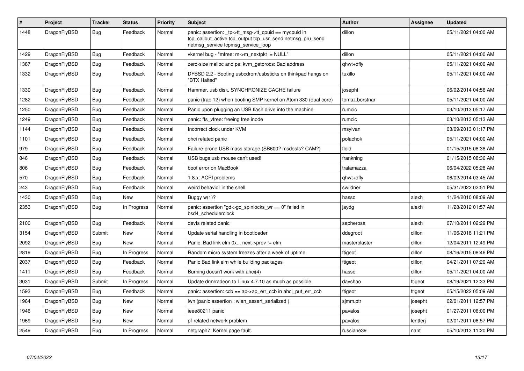| $\#$ | <b>Project</b> | <b>Tracker</b> | <b>Status</b> | <b>Priority</b> | <b>Subject</b>                                                                                                                                            | <b>Author</b>  | Assignee | Updated             |
|------|----------------|----------------|---------------|-----------------|-----------------------------------------------------------------------------------------------------------------------------------------------------------|----------------|----------|---------------------|
| 1448 | DragonFlyBSD   | <b>Bug</b>     | Feedback      | Normal          | panic: assertion: _tp->tt_msg->tt_cpuid == mycpuid in<br>tcp callout active tcp output tcp usr send netmsg pru send<br>netmsg service tcpmsg service loop | dillon         |          | 05/11/2021 04:00 AM |
| 1429 | DragonFlyBSD   | Bug            | Feedback      | Normal          | vkernel bug - "mfree: m->m_nextpkt != NULL"                                                                                                               | dillon         |          | 05/11/2021 04:00 AM |
| 1387 | DragonFlyBSD   | Bug            | Feedback      | Normal          | zero-size malloc and ps: kvm getprocs: Bad address                                                                                                        | qhwt+dfly      |          | 05/11/2021 04:00 AM |
| 1332 | DragonFlyBSD   | <b>Bug</b>     | Feedback      | Normal          | DFBSD 2.2 - Booting usbcdrom/usbsticks on thinkpad hangs on<br>"BTX Halted"                                                                               | tuxillo        |          | 05/11/2021 04:00 AM |
| 1330 | DragonFlyBSD   | <b>Bug</b>     | Feedback      | Normal          | Hammer, usb disk, SYNCHRONIZE CACHE failure                                                                                                               | josepht        |          | 06/02/2014 04:56 AM |
| 1282 | DragonFlyBSD   | Bug            | Feedback      | Normal          | panic (trap 12) when booting SMP kernel on Atom 330 (dual core)                                                                                           | tomaz.borstnar |          | 05/11/2021 04:00 AM |
| 1250 | DragonFlyBSD   | <b>Bug</b>     | Feedback      | Normal          | Panic upon plugging an USB flash drive into the machine                                                                                                   | rumcic         |          | 03/10/2013 05:17 AM |
| 1249 | DragonFlyBSD   | <b>Bug</b>     | Feedback      | Normal          | panic: ffs vfree: freeing free inode                                                                                                                      | rumcic         |          | 03/10/2013 05:13 AM |
| 1144 | DragonFlyBSD   | Bug            | Feedback      | Normal          | Incorrect clock under KVM                                                                                                                                 | msylvan        |          | 03/09/2013 01:17 PM |
| 1101 | DragonFlyBSD   | Bug            | Feedback      | Normal          | ohci related panic                                                                                                                                        | polachok       |          | 05/11/2021 04:00 AM |
| 979  | DragonFlyBSD   | <b>Bug</b>     | Feedback      | Normal          | Failure-prone USB mass storage (SB600? msdosfs? CAM?)                                                                                                     | floid          |          | 01/15/2015 08:38 AM |
| 846  | DragonFlyBSD   | <b>Bug</b>     | Feedback      | Normal          | USB bugs:usb mouse can't used!                                                                                                                            | frankning      |          | 01/15/2015 08:36 AM |
| 806  | DragonFlyBSD   | <b>Bug</b>     | Feedback      | Normal          | boot error on MacBook                                                                                                                                     | tralamazza     |          | 06/04/2022 05:28 AM |
| 570  | DragonFlyBSD   | Bug            | Feedback      | Normal          | 1.8.x: ACPI problems                                                                                                                                      | qhwt+dfly      |          | 06/02/2014 03:45 AM |
| 243  | DragonFlyBSD   | <b>Bug</b>     | Feedback      | Normal          | weird behavior in the shell                                                                                                                               | swildner       |          | 05/31/2022 02:51 PM |
| 1430 | DragonFlyBSD   | <b>Bug</b>     | <b>New</b>    | Normal          | Buggy w(1)?                                                                                                                                               | hasso          | alexh    | 11/24/2010 08:09 AM |
| 2353 | DragonFlyBSD   | Bug            | In Progress   | Normal          | panic: assertion "gd->gd spinlocks $wr == 0$ " failed in<br>bsd4 schedulerclock                                                                           | jaydg          | alexh    | 11/28/2012 01:57 AM |
| 2100 | DragonFlyBSD   | <b>Bug</b>     | Feedback      | Normal          | devfs related panic                                                                                                                                       | sepherosa      | alexh    | 07/10/2011 02:29 PM |
| 3154 | DragonFlyBSD   | Submit         | <b>New</b>    | Normal          | Update serial handling in bootloader                                                                                                                      | ddegroot       | dillon   | 11/06/2018 11:21 PM |
| 2092 | DragonFlyBSD   | Bug            | New           | Normal          | Panic: Bad link elm 0x next->prev != elm                                                                                                                  | masterblaster  | dillon   | 12/04/2011 12:49 PM |
| 2819 | DragonFlyBSD   | Bug            | In Progress   | Normal          | Random micro system freezes after a week of uptime                                                                                                        | ftigeot        | dillon   | 08/16/2015 08:46 PM |
| 2037 | DragonFlyBSD   | Bug            | Feedback      | Normal          | Panic Bad link elm while building packages                                                                                                                | ftigeot        | dillon   | 04/21/2011 07:20 AM |
| 1411 | DragonFlyBSD   | <b>Bug</b>     | Feedback      | Normal          | Burning doesn't work with ahci(4)                                                                                                                         | hasso          | dillon   | 05/11/2021 04:00 AM |
| 3031 | DragonFlyBSD   | Submit         | In Progress   | Normal          | Update drm/radeon to Linux 4.7.10 as much as possible                                                                                                     | davshao        | ftigeot  | 08/19/2021 12:33 PM |
| 1593 | DragonFlyBSD   | Bug            | Feedback      | Normal          | panic: assertion: $ccb == ap > ap$ err $ccb$ in ahci put err $ccb$                                                                                        | ftigeot        | ftigeot  | 05/15/2022 05:09 AM |
| 1964 | DragonFlyBSD   | <b>Bug</b>     | <b>New</b>    | Normal          | iwn (panic assertion : wlan_assert_serialized)                                                                                                            | sjmm.ptr       | josepht  | 02/01/2011 12:57 PM |
| 1946 | DragonFlyBSD   | <b>Bug</b>     | New           | Normal          | ieee80211 panic                                                                                                                                           | pavalos        | josepht  | 01/27/2011 06:00 PM |
| 1969 | DragonFlyBSD   | Bug            | New           | Normal          | pf-related network problem                                                                                                                                | pavalos        | lentferj | 02/01/2011 06:57 PM |
| 2549 | DragonFlyBSD   | Bug            | In Progress   | Normal          | netgraph7: Kernel page fault.                                                                                                                             | russiane39     | nant     | 05/10/2013 11:20 PM |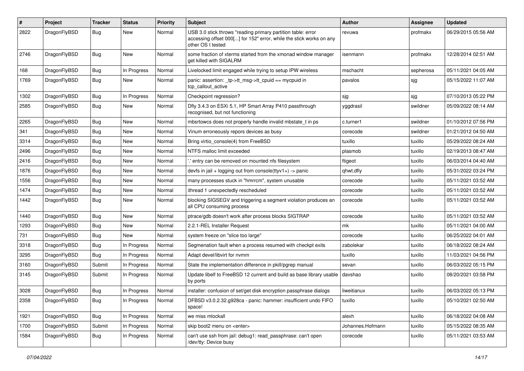| #    | Project      | Tracker    | <b>Status</b> | <b>Priority</b> | <b>Subject</b>                                                                                                                                           | Author           | Assignee  | <b>Updated</b>      |
|------|--------------|------------|---------------|-----------------|----------------------------------------------------------------------------------------------------------------------------------------------------------|------------------|-----------|---------------------|
| 2822 | DragonFlyBSD | Bug        | New           | Normal          | USB 3.0 stick throws "reading primary partition table: error<br>accessing offset 000[] for 152" error, while the stick works on any<br>other OS I tested | revuwa           | profmakx  | 06/29/2015 05:56 AM |
| 2746 | DragonFlyBSD | <b>Bug</b> | New           | Normal          | some fraction of xterms started from the xmonad window manager<br>get killed with SIGALRM                                                                | isenmann         | profmakx  | 12/28/2014 02:51 AM |
| 168  | DragonFlyBSD | Bug        | In Progress   | Normal          | Livelocked limit engaged while trying to setup IPW wireless                                                                                              | mschacht         | sepherosa | 05/11/2021 04:05 AM |
| 1769 | DragonFlyBSD | Bug        | New           | Normal          | panic: assertion: _tp->tt_msg->tt_cpuid == mycpuid in<br>tcp callout active                                                                              | pavalos          | sjg       | 05/15/2022 11:07 AM |
| 1302 | DragonFlyBSD | Bug        | In Progress   | Normal          | Checkpoint regression?                                                                                                                                   | sjg              | sjg       | 07/10/2013 05:22 PM |
| 2585 | DragonFlyBSD | <b>Bug</b> | New           | Normal          | Dfly 3.4.3 on ESXi 5.1, HP Smart Array P410 passthrough<br>recognised, but not functioning                                                               | yggdrasil        | swildner  | 05/09/2022 08:14 AM |
| 2265 | DragonFlyBSD | <b>Bug</b> | <b>New</b>    | Normal          | mbsrtowcs does not properly handle invalid mbstate_t in ps                                                                                               | c.turner1        | swildner  | 01/10/2012 07:56 PM |
| 341  | DragonFlyBSD | Bug        | <b>New</b>    | Normal          | Vinum erroneously repors devices as busy                                                                                                                 | corecode         | swildner  | 01/21/2012 04:50 AM |
| 3314 | DragonFlyBSD | <b>Bug</b> | New           | Normal          | Bring virtio console(4) from FreeBSD                                                                                                                     | tuxillo          | tuxillo   | 05/29/2022 08:24 AM |
| 2496 | DragonFlyBSD | Bug        | <b>New</b>    | Normal          | NTFS malloc limit exceeded                                                                                                                               | plasmob          | tuxillo   | 02/19/2013 08:47 AM |
| 2416 | DragonFlyBSD | <b>Bug</b> | New           | Normal          | 'entry can be removed on mounted nfs filesystem                                                                                                          | ftigeot          | tuxillo   | 06/03/2014 04:40 AM |
| 1876 | DragonFlyBSD | <b>Bug</b> | <b>New</b>    | Normal          | devfs in $ ail + logging$ out from console(ttyv1+) -> panic                                                                                              | qhwt.dfly        | tuxillo   | 05/31/2022 03:24 PM |
| 1556 | DragonFlyBSD | <b>Bug</b> | New           | Normal          | many processes stuck in "hmrrcm", system unusable                                                                                                        | corecode         | tuxillo   | 05/11/2021 03:52 AM |
| 1474 | DragonFlyBSD | <b>Bug</b> | New           | Normal          | ithread 1 unexpectedly rescheduled                                                                                                                       | corecode         | tuxillo   | 05/11/2021 03:52 AM |
| 1442 | DragonFlyBSD | Bug        | New           | Normal          | blocking SIGSEGV and triggering a segment violation produces an<br>all CPU consuming process                                                             | corecode         | tuxillo   | 05/11/2021 03:52 AM |
| 1440 | DragonFlyBSD | <b>Bug</b> | New           | Normal          | ptrace/gdb doesn't work after process blocks SIGTRAP                                                                                                     | corecode         | tuxillo   | 05/11/2021 03:52 AM |
| 1293 | DragonFlyBSD | Bug        | <b>New</b>    | Normal          | 2.2.1-REL Installer Request                                                                                                                              | mk               | tuxillo   | 05/11/2021 04:00 AM |
| 731  | DragonFlyBSD | <b>Bug</b> | New           | Normal          | system freeze on "slice too large"                                                                                                                       | corecode         | tuxillo   | 06/25/2022 04:01 AM |
| 3318 | DragonFlyBSD | <b>Bug</b> | In Progress   | Normal          | Segmenation fault when a process resumed with checkpt exits                                                                                              | zabolekar        | tuxillo   | 06/18/2022 08:24 AM |
| 3295 | DragonFlyBSD | Bug        | In Progress   | Normal          | Adapt devel/libvirt for nvmm                                                                                                                             | tuxillo          | tuxillo   | 11/03/2021 04:56 PM |
| 3160 | DragonFlyBSD | Submit     | In Progress   | Normal          | State the implementation difference in pkill/pgrep manual                                                                                                | sevan            | tuxillo   | 06/03/2022 05:15 PM |
| 3145 | DragonFlyBSD | Submit     | In Progress   | Normal          | Update libelf to FreeBSD 12 current and build as base library usable<br>by ports                                                                         | davshao          | tuxillo   | 08/20/2021 03:58 PM |
| 3028 | DragonFlyBSD | <b>Bug</b> | In Progress   | Normal          | installer: confusion of set/get disk encryption passphrase dialogs                                                                                       | liweitianux      | tuxillo   | 06/03/2022 05:13 PM |
| 2358 | DragonFlyBSD | <b>Bug</b> | In Progress   | Normal          | DFBSD v3.0.2.32.g928ca - panic: hammer: insufficient undo FIFO<br>space!                                                                                 | tuxillo          | tuxillo   | 05/10/2021 02:50 AM |
| 1921 | DragonFlyBSD | Bug        | In Progress   | Normal          | we miss mlockall                                                                                                                                         | alexh            | tuxillo   | 06/18/2022 04:08 AM |
| 1700 | DragonFlyBSD | Submit     | In Progress   | Normal          | skip boot2 menu on <enter></enter>                                                                                                                       | Johannes.Hofmann | tuxillo   | 05/15/2022 08:35 AM |
| 1584 | DragonFlyBSD | <b>Bug</b> | In Progress   | Normal          | can't use ssh from jail: debug1: read_passphrase: can't open<br>/dev/tty: Device busy                                                                    | corecode         | tuxillo   | 05/11/2021 03:53 AM |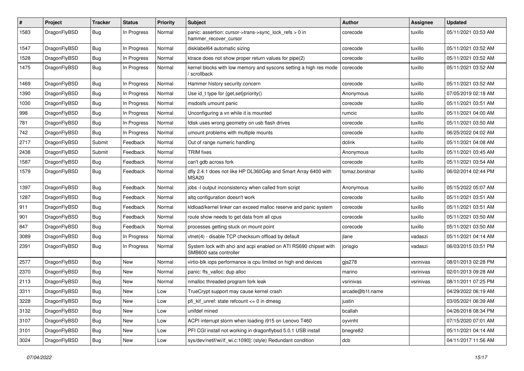| $\pmb{\#}$ | Project      | <b>Tracker</b> | <b>Status</b> | <b>Priority</b> | <b>Subject</b>                                                                             | <b>Author</b>   | Assignee  | <b>Updated</b>      |
|------------|--------------|----------------|---------------|-----------------|--------------------------------------------------------------------------------------------|-----------------|-----------|---------------------|
| 1583       | DragonFlyBSD | Bug            | In Progress   | Normal          | panic: assertion: cursor->trans->sync_lock_refs > 0 in<br>hammer_recover_cursor            | corecode        | tuxillo   | 05/11/2021 03:53 AM |
| 1547       | DragonFlyBSD | Bug            | In Progress   | Normal          | disklabel64 automatic sizing                                                               | corecode        | tuxillo   | 05/11/2021 03:52 AM |
| 1528       | DragonFlyBSD | <b>Bug</b>     | In Progress   | Normal          | ktrace does not show proper return values for pipe(2)                                      | corecode        | tuxillo   | 05/11/2021 03:52 AM |
| 1475       | DragonFlyBSD | Bug            | In Progress   | Normal          | kernel blocks with low memory and syscons setting a high res mode<br>/ scrollback          | corecode        | tuxillo   | 05/11/2021 03:52 AM |
| 1469       | DragonFlyBSD | Bug            | In Progress   | Normal          | Hammer history security concern                                                            | corecode        | tuxillo   | 05/11/2021 03:52 AM |
| 1390       | DragonFlyBSD | Bug            | In Progress   | Normal          | Use id_t type for {get,set}priority()                                                      | Anonymous       | tuxillo   | 07/05/2019 02:18 AM |
| 1030       | DragonFlyBSD | Bug            | In Progress   | Normal          | msdosfs umount panic                                                                       | corecode        | tuxillo   | 05/11/2021 03:51 AM |
| 998        | DragonFlyBSD | Bug            | In Progress   | Normal          | Unconfiguring a vn while it is mounted                                                     | rumcic          | tuxillo   | 05/11/2021 04:00 AM |
| 781        | DragonFlyBSD | Bug            | In Progress   | Normal          | fdisk uses wrong geometry on usb flash drives                                              | corecode        | tuxillo   | 05/11/2021 03:50 AM |
| 742        | DragonFlyBSD | Bug            | In Progress   | Normal          | umount problems with multiple mounts                                                       | corecode        | tuxillo   | 06/25/2022 04:02 AM |
| 2717       | DragonFlyBSD | Submit         | Feedback      | Normal          | Out of range numeric handling                                                              | dclink          | tuxillo   | 05/11/2021 04:08 AM |
| 2438       | DragonFlyBSD | Submit         | Feedback      | Normal          | <b>TRIM</b> fixes                                                                          | Anonymous       | tuxillo   | 05/11/2021 03:45 AM |
| 1587       | DragonFlyBSD | Bug            | Feedback      | Normal          | can't gdb across fork                                                                      | corecode        | tuxillo   | 05/11/2021 03:54 AM |
| 1579       | DragonFlyBSD | Bug            | Feedback      | Normal          | dfly 2.4.1 does not like HP DL360G4p and Smart Array 6400 with<br>MSA <sub>20</sub>        | tomaz.borstnar  | tuxillo   | 06/02/2014 02:44 PM |
| 1397       | DragonFlyBSD | Bug            | Feedback      | Normal          | jobs -I output inconsistency when called from script                                       | Anonymous       | tuxillo   | 05/15/2022 05:07 AM |
| 1287       | DragonFlyBSD | Bug            | Feedback      | Normal          | altg configuration doesn't work                                                            | corecode        | tuxillo   | 05/11/2021 03:51 AM |
| 911        | DragonFlyBSD | Bug            | Feedback      | Normal          | kldload/kernel linker can exceed malloc reserve and panic system                           | corecode        | tuxillo   | 05/11/2021 03:51 AM |
| 901        | DragonFlyBSD | Bug            | Feedback      | Normal          | route show needs to get data from all cpus                                                 | corecode        | tuxillo   | 05/11/2021 03:50 AM |
| 847        | DragonFlyBSD | <b>Bug</b>     | Feedback      | Normal          | processes getting stuck on mount point                                                     | corecode        | tuxillo   | 05/11/2021 03:50 AM |
| 3089       | DragonFlyBSD | Bug            | In Progress   | Normal          | vtnet(4) - disable TCP checksum offload by default                                         | jlane           | vadaszi   | 05/11/2021 04:14 AM |
| 2391       | DragonFlyBSD | Bug            | In Progress   | Normal          | System lock with ahci and acpi enabled on ATI RS690 chipset with<br>SMB600 sata controller | jorisgio        | vadaszi   | 06/03/2015 03:51 PM |
| 2577       | DragonFlyBSD | Bug            | New           | Normal          | virtio-blk iops performance is cpu limited on high end devices                             | $g$ js278       | vsrinivas | 08/01/2013 02:28 PM |
| 2370       | DragonFlyBSD | Bug            | New           | Normal          | panic: ffs_valloc: dup alloc                                                               | marino          | vsrinivas | 02/01/2013 09:28 AM |
| 2113       | DragonFlyBSD | Bug            | <b>New</b>    | Normal          | nmalloc threaded program fork leak                                                         | vsrinivas       | vsrinivas | 08/11/2011 07:25 PM |
| 3311       | DragonFlyBSD | <b>Bug</b>     | New           | Low             | TrueCrypt support may cause kernel crash                                                   | arcade@b1t.name |           | 04/29/2022 06:19 AM |
| 3228       | DragonFlyBSD | <b>Bug</b>     | New           | Low             | pfi_kif_unref: state refcount <= 0 in dmesg                                                | justin          |           | 03/05/2021 06:39 AM |
| 3132       | DragonFlyBSD | Bug            | New           | Low             | unifdef mined                                                                              | bcallah         |           | 04/26/2018 08:34 PM |
| 3107       | DragonFlyBSD | <b>Bug</b>     | New           | Low             | ACPI interrupt storm when loading i915 on Lenovo T460                                      | oyvinht         |           | 07/15/2020 07:01 AM |
| 3101       | DragonFlyBSD | <b>Bug</b>     | New           | Low             | PFI CGI install not working in dragonflybsd 5.0.1 USB install                              | bnegre82        |           | 05/11/2021 04:14 AM |
| 3024       | DragonFlyBSD | Bug            | New           | Low             | sys/dev/netif/wi/if_wi.c:1090]: (style) Redundant condition                                | dcb             |           | 04/11/2017 11:56 AM |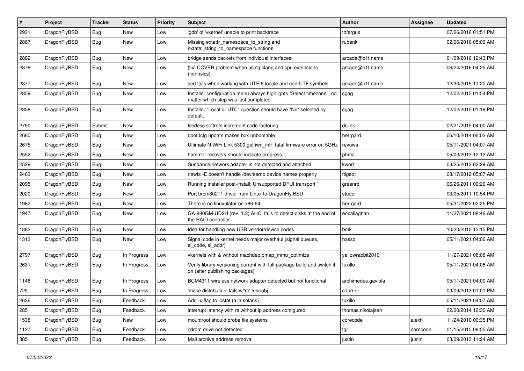| #    | Project      | <b>Tracker</b> | <b>Status</b> | <b>Priority</b> | Subject                                                                                                       | <b>Author</b>      | Assignee | <b>Updated</b>      |
|------|--------------|----------------|---------------|-----------------|---------------------------------------------------------------------------------------------------------------|--------------------|----------|---------------------|
| 2931 | DragonFlyBSD | <b>Bug</b>     | <b>New</b>    | Low             | 'gdb' of 'vkernel' unable to print backtrace                                                                  | tofergus           |          | 07/26/2016 01:51 PM |
| 2887 | DragonFlyBSD | <b>Bug</b>     | New           | Low             | Missing extattr_namespace_to_string and<br>extattr_string_to_namespace functions                              | rubenk             |          | 02/06/2016 05:09 AM |
| 2882 | DragonFlyBSD | Bug            | <b>New</b>    | Low             | bridge sends packets from individual interfaces                                                               | arcade@b1t.name    |          | 01/09/2016 12:43 PM |
| 2878 | DragonFlyBSD | Bug            | New           | Low             | [fix] CCVER problem when using clang and cpu extensions<br>(intrinsics)                                       | arcade@b1t.name    |          | 06/24/2016 04:25 AM |
| 2877 | DragonFlyBSD | Bug            | <b>New</b>    | Low             | sed fails when working with UTF-8 locale and non-UTF symbols                                                  | arcade@b1t.name    |          | 12/30/2015 11:20 AM |
| 2859 | DragonFlyBSD | Bug            | <b>New</b>    | Low             | Installer configuration menu always highlights "Select timezone", no<br>matter which step was last completed. | cgag               |          | 12/02/2015 01:54 PM |
| 2858 | DragonFlyBSD | <b>Bug</b>     | New           | Low             | Installer "Local or UTC" question should have "No" selected by<br>default.                                    | cgag               |          | 12/02/2015 01:18 PM |
| 2790 | DragonFlyBSD | Submit         | New           | Low             | filedesc softrefs increment code factoring                                                                    | dclink             |          | 02/21/2015 04:00 AM |
| 2680 | DragonFlyBSD | Bug            | <b>New</b>    | Low             | boot0cfg update makes box unbootable                                                                          | herrgard           |          | 06/10/2014 06:02 AM |
| 2675 | DragonFlyBSD | Bug            | New           | Low             | Ultimate N WiFi Link 5300 get iwn_intr: fatal firmware error on 5GHz                                          | revuwa             |          | 05/11/2021 04:07 AM |
| 2552 | DragonFlyBSD | Bug            | New           | Low             | hammer recovery should indicate progress                                                                      | phma               |          | 05/03/2013 12:13 AM |
| 2529 | DragonFlyBSD | Bug            | New           | Low             | Sundance network adapter is not detected and attached                                                         | kworr              |          | 03/25/2013 02:29 AM |
| 2403 | DragonFlyBSD | Bug            | New           | Low             | newfs -E doesn't handle /dev/serno device names properly                                                      | ftigeot            |          | 08/17/2012 05:07 AM |
| 2095 | DragonFlyBSD | Bug            | <b>New</b>    | Low             | Running installer post-install: Unsupported DFUI transport "                                                  | greenrd            |          | 06/26/2011 09:20 AM |
| 2020 | DragonFlyBSD | Bug            | New           | Low             | Port brcm80211 driver from Linux to DragonFly BSD                                                             | studer             |          | 03/05/2011 10:54 PM |
| 1982 | DragonFlyBSD | Bug            | New           | Low             | There is no linuxulator on x86-64                                                                             | herrgard           |          | 05/31/2022 02:25 PM |
| 1947 | DragonFlyBSD | Bug            | <b>New</b>    | Low             | GA-880GM-UD2H (rev. 1.3) AHCI fails to detect disks at the end of<br>the RAID controller                      | eocallaghan        |          | 11/27/2021 08:46 AM |
| 1882 | DragonFlyBSD | Bug            | New           | Low             | Idea for handling new USB vendor/device codes                                                                 | bmk                |          | 10/20/2010 12:15 PM |
| 1313 | DragonFlyBSD | Bug            | New           | Low             | Signal code in kernel needs major overhaul (signal queues,<br>si code, si addr)                               | hasso              |          | 05/11/2021 04:00 AM |
| 2797 | DragonFlyBSD | Bug            | In Progress   | Low             | vkernels with & without machdep.pmap_mmu_optimize                                                             | yellowrabbit2010   |          | 11/27/2021 08:06 AM |
| 2631 | DragonFlyBSD | Bug            | In Progress   | Low             | Verify library versioning current with full package build and switch it<br>on (after publishing packages)     | tuxillo            |          | 05/11/2021 04:06 AM |
| 1148 | DragonFlyBSD | Bug            | In Progress   | Low             | BCM4311 wireless network adapter detected but not functional                                                  | archimedes.gaviola |          | 05/11/2021 04:00 AM |
| 725  | DragonFlyBSD | Bug            | In Progress   | Low             | 'make distribution' fails w/'ro' /usr/obj                                                                     | c.turner           |          | 03/09/2013 01:01 PM |
| 2636 | DragonFlyBSD | Bug            | Feedback      | Low             | Add -x flag to iostat (a la solaris)                                                                          | tuxillo            |          | 05/11/2021 04:07 AM |
| 285  | DragonFlyBSD | <b>Bug</b>     | Feedback      | Low             | interrupt latency with re without ip address configured                                                       | thomas.nikolajsen  |          | 02/20/2014 10:30 AM |
| 1538 | DragonFlyBSD | <b>Bug</b>     | New           | Low             | mountroot should probe file systems                                                                           | corecode           | alexh    | 11/24/2010 06:35 PM |
| 1127 | DragonFlyBSD | <b>Bug</b>     | Feedback      | Low             | cdrom drive not detected                                                                                      | tgr                | corecode | 01/15/2015 08:55 AM |
| 385  | DragonFlyBSD | <b>Bug</b>     | Feedback      | Low             | Mail archive address removal                                                                                  | justin             | justin   | 03/09/2013 11:24 AM |